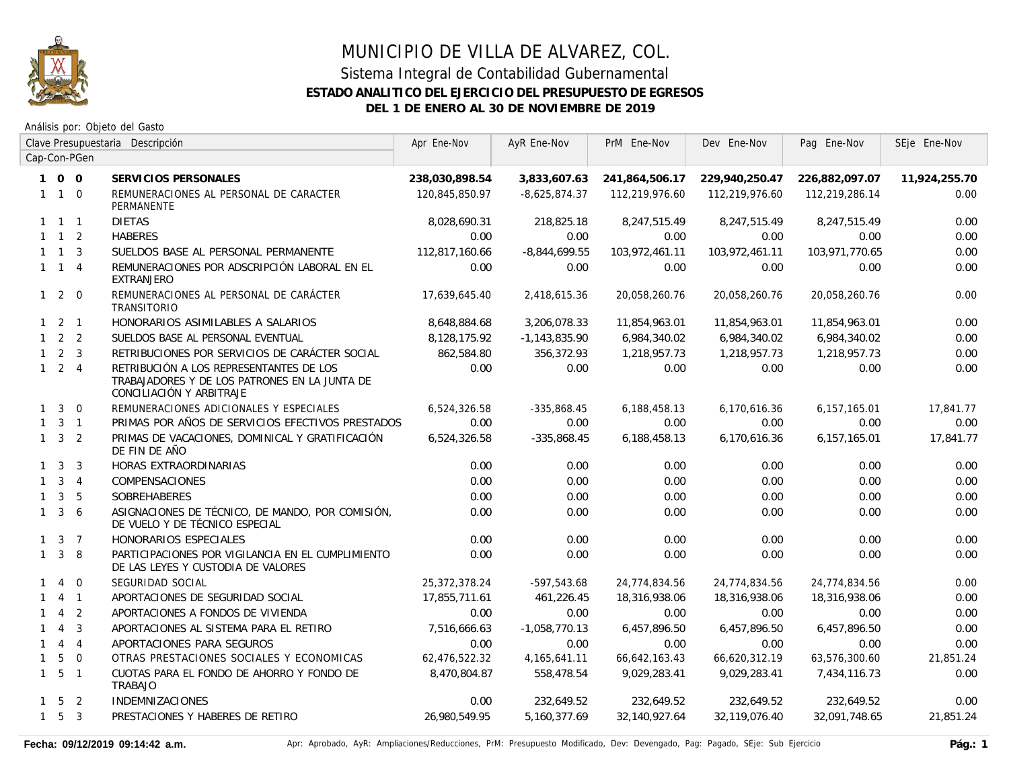

## MUNICIPIO DE VILLA DE ALVAREZ, COL. Sistema Integral de Contabilidad Gubernamental **ESTADO ANALITICO DEL EJERCICIO DEL PRESUPUESTO DE EGRESOS**

**DEL 1 DE ENERO AL 30 DE NOVIEMBRE DE 2019**

|              |                     |                | Clave Presupuestaria Descripción                                                                                     | Apr Ene-Nov    | AyR Ene-Nov     | PrM Ene-Nov    | Dev Ene-Nov    | Pag Ene-Nov    | SEje Ene-Nov  |
|--------------|---------------------|----------------|----------------------------------------------------------------------------------------------------------------------|----------------|-----------------|----------------|----------------|----------------|---------------|
|              |                     | Cap-Con-PGen   |                                                                                                                      |                |                 |                |                |                |               |
|              | 100                 |                | SERVICIOS PERSONALES                                                                                                 | 238,030,898.54 | 3,833,607.63    | 241,864,506.17 | 229,940,250.47 | 226,882,097.07 | 11,924,255.70 |
|              | $1\quad1\quad0$     |                | REMUNERACIONES AL PERSONAL DE CARACTER<br>PERMANENTE                                                                 | 120,845,850.97 | $-8,625,874.37$ | 112,219,976.60 | 112,219,976.60 | 112,219,286.14 | 0.00          |
|              | $1 \quad 1 \quad 1$ |                | <b>DIETAS</b>                                                                                                        | 8,028,690.31   | 218,825.18      | 8,247,515.49   | 8,247,515.49   | 8,247,515.49   | 0.00          |
|              | $1 \quad 1 \quad 2$ |                | <b>HABERES</b>                                                                                                       | 0.00           | 0.00            | 0.00           | 0.00           | 0.00           | 0.00          |
|              | $1 \quad 1 \quad 3$ |                | SUELDOS BASE AL PERSONAL PERMANENTE                                                                                  | 112,817,160.66 | $-8,844,699.55$ | 103,972,461.11 | 103,972,461.11 | 103,971,770.65 | 0.00          |
|              | $1 \quad 1 \quad 4$ |                | REMUNERACIONES POR ADSCRIPCIÓN LABORAL EN EL<br><b>EXTRANJERO</b>                                                    | 0.00           | 0.00            | 0.00           | 0.00           | 0.00           | 0.00          |
|              | $1 2 0$             |                | REMUNERACIONES AL PERSONAL DE CARÁCTER<br><b>TRANSITORIO</b>                                                         | 17,639,645.40  | 2,418,615.36    | 20,058,260.76  | 20,058,260.76  | 20,058,260.76  | 0.00          |
|              | $1 \quad 2 \quad 1$ |                | HONORARIOS ASIMILABLES A SALARIOS                                                                                    | 8,648,884.68   | 3,206,078.33    | 11,854,963.01  | 11,854,963.01  | 11,854,963.01  | 0.00          |
|              | $1 \quad 2 \quad 2$ |                | SUELDOS BASE AL PERSONAL EVENTUAL                                                                                    | 8,128,175.92   | $-1,143,835.90$ | 6,984,340.02   | 6,984,340.02   | 6,984,340.02   | 0.00          |
|              | $1\quad 2\quad 3$   |                | RETRIBUCIONES POR SERVICIOS DE CARÁCTER SOCIAL                                                                       | 862,584.80     | 356,372.93      | 1,218,957.73   | 1,218,957.73   | 1,218,957.73   | 0.00          |
|              | $1 \quad 2 \quad 4$ |                | RETRIBUCIÓN A LOS REPRESENTANTES DE LOS<br>TRABAJADORES Y DE LOS PATRONES EN LA JUNTA DE<br>CONCILIACIÓN Y ARBITRAJE | 0.00           | 0.00            | 0.00           | 0.00           | 0.00           | 0.00          |
|              | $1 \quad 3$         | $\Omega$       | REMUNERACIONES ADICIONALES Y ESPECIALES                                                                              | 6,524,326.58   | $-335,868.45$   | 6,188,458.13   | 6,170,616.36   | 6,157,165.01   | 17,841.77     |
|              | $1 \quad 3 \quad 1$ |                | PRIMAS POR AÑOS DE SERVICIOS EFECTIVOS PRESTADOS                                                                     | 0.00           | 0.00            | 0.00           | 0.00           | 0.00           | 0.00          |
|              | $1 \quad 3 \quad 2$ |                | PRIMAS DE VACACIONES, DOMINICAL Y GRATIFICACIÓN<br>DE FIN DE AÑO                                                     | 6,524,326.58   | $-335,868.45$   | 6,188,458.13   | 6,170,616.36   | 6,157,165.01   | 17,841.77     |
|              | $1 \quad 3$         | 3              | HORAS EXTRAORDINARIAS                                                                                                | 0.00           | 0.00            | 0.00           | 0.00           | 0.00           | 0.00          |
|              | $1 \quad 3 \quad 4$ |                | COMPENSACIONES                                                                                                       | 0.00           | 0.00            | 0.00           | 0.00           | 0.00           | 0.00          |
| $\mathbf{1}$ |                     | 3 <sub>5</sub> | <b>SOBREHABERES</b>                                                                                                  | 0.00           | 0.00            | 0.00           | 0.00           | 0.00           | 0.00          |
| $\mathbf{1}$ | $\mathbf{3}$        | -6             | ASIGNACIONES DE TÉCNICO, DE MANDO, POR COMISIÓN,<br>DE VUELO Y DE TÉCNICO ESPECIAL                                   | 0.00           | 0.00            | 0.00           | 0.00           | 0.00           | 0.00          |
|              | $1 \quad 3 \quad 7$ |                | HONORARIOS ESPECIALES                                                                                                | 0.00           | 0.00            | 0.00           | 0.00           | 0.00           | 0.00          |
|              | $1 \quad 3 \quad 8$ |                | PARTICIPACIONES POR VIGILANCIA EN EL CUMPLIMIENTO<br>DE LAS LEYES Y CUSTODIA DE VALORES                              | 0.00           | 0.00            | 0.00           | 0.00           | 0.00           | 0.00          |
| $\mathbf{1}$ | $\overline{4}$      | $\Omega$       | SEGURIDAD SOCIAL                                                                                                     | 25,372,378.24  | $-597,543.68$   | 24,774,834.56  | 24,774,834.56  | 24,774,834.56  | 0.00          |
|              |                     | $4 \quad 1$    | APORTACIONES DE SEGURIDAD SOCIAL                                                                                     | 17,855,711.61  | 461,226.45      | 18,316,938.06  | 18,316,938.06  | 18,316,938.06  | 0.00          |
|              | $\overline{4}$      | $\overline{2}$ | APORTACIONES A FONDOS DE VIVIENDA                                                                                    | 0.00           | 0.00            | 0.00           | 0.00           | 0.00           | 0.00          |
| $\mathbf{1}$ | $\overline{4}$      | $\overline{3}$ | APORTACIONES AL SISTEMA PARA EL RETIRO                                                                               | 7,516,666.63   | $-1,058,770.13$ | 6,457,896.50   | 6,457,896.50   | 6,457,896.50   | 0.00          |
|              | 144                 |                | APORTACIONES PARA SEGUROS                                                                                            | 0.00           | 0.00            | 0.00           | 0.00           | 0.00           | 0.00          |
| $\mathbf{1}$ | 5                   | $\overline{0}$ | OTRAS PRESTACIONES SOCIALES Y ECONOMICAS                                                                             | 62,476,522.32  | 4,165,641.11    | 66,642,163.43  | 66,620,312.19  | 63,576,300.60  | 21,851.24     |
|              | $1\quad 5\quad 1$   |                | CUOTAS PARA EL FONDO DE AHORRO Y FONDO DE<br><b>TRABAJO</b>                                                          | 8,470,804.87   | 558,478.54      | 9,029,283.41   | 9,029,283.41   | 7,434,116.73   | 0.00          |
|              | $1 \quad 5 \quad 2$ |                | <b>INDEMNIZACIONES</b>                                                                                               | 0.00           | 232,649.52      | 232,649.52     | 232,649.52     | 232,649.52     | 0.00          |
|              | $1\quad 5\quad 3$   |                | PRESTACIONES Y HABERES DE RETIRO                                                                                     | 26,980,549.95  | 5,160,377.69    | 32,140,927.64  | 32,119,076.40  | 32,091,748.65  | 21,851.24     |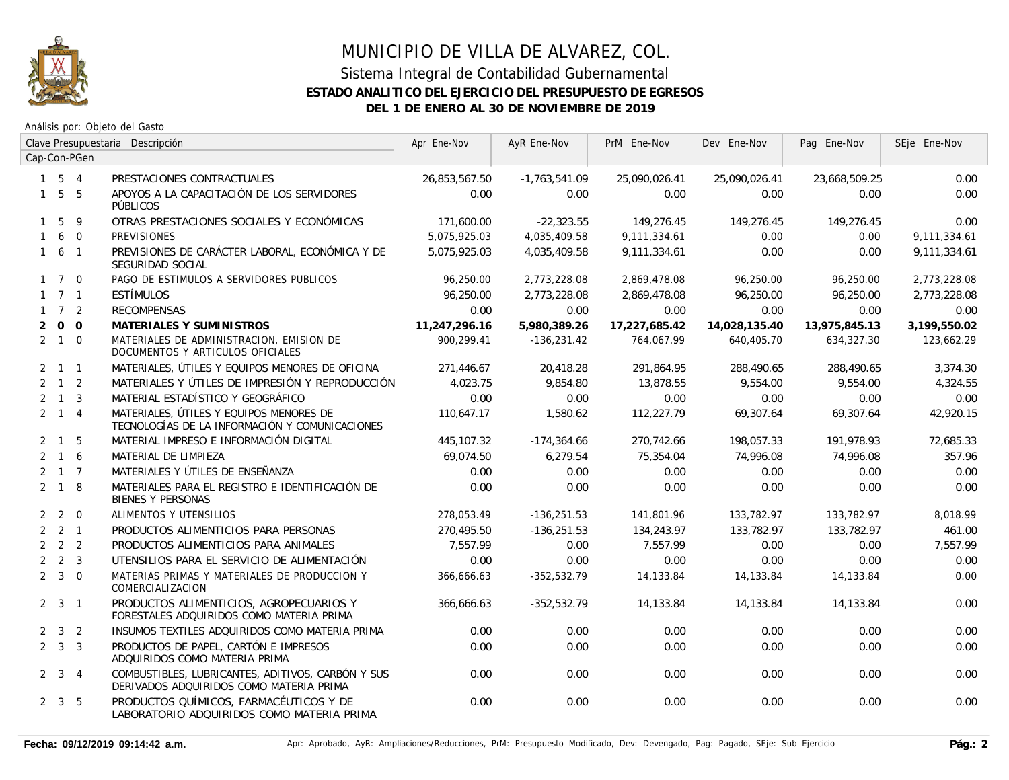

### Sistema Integral de Contabilidad Gubernamental **ESTADO ANALITICO DEL EJERCICIO DEL PRESUPUESTO DE EGRESOS DEL 1 DE ENERO AL 30 DE NOVIEMBRE DE 2019**

|                |                     |              | Clave Presupuestaria Descripción                                                             | Apr Ene-Nov   | AyR Ene-Nov     | PrM Ene-Nov   | Dev Ene-Nov   | Pag Ene-Nov   | SEje Ene-Nov |
|----------------|---------------------|--------------|----------------------------------------------------------------------------------------------|---------------|-----------------|---------------|---------------|---------------|--------------|
|                |                     | Cap-Con-PGen |                                                                                              |               |                 |               |               |               |              |
|                | $1 \quad 5 \quad 4$ |              | PRESTACIONES CONTRACTUALES                                                                   | 26,853,567.50 | $-1,763,541.09$ | 25,090,026.41 | 25,090,026.41 | 23,668,509.25 | 0.00         |
|                | $1\quad 5\quad 5$   |              | APOYOS A LA CAPACITACIÓN DE LOS SERVIDORES<br>PÚBLICOS                                       | 0.00          | 0.00            | 0.00          | 0.00          | 0.00          | 0.00         |
|                | $1\quad5$           | 9            | OTRAS PRESTACIONES SOCIALES Y ECONÓMICAS                                                     | 171,600.00    | $-22,323.55$    | 149,276.45    | 149,276.45    | 149,276.45    | 0.00         |
|                | 160                 |              | <b>PREVISIONES</b>                                                                           | 5,075,925.03  | 4,035,409.58    | 9,111,334.61  | 0.00          | 0.00          | 9,111,334.61 |
|                | $1\quad 6\quad 1$   |              | PREVISIONES DE CARÁCTER LABORAL, ECONÓMICA Y DE<br>SEGURIDAD SOCIAL                          | 5.075.925.03  | 4,035,409.58    | 9.111.334.61  | 0.00          | 0.00          | 9,111,334.61 |
|                | $1 \quad 7 \quad 0$ |              | PAGO DE ESTIMULOS A SERVIDORES PUBLICOS                                                      | 96,250.00     | 2,773,228.08    | 2,869,478.08  | 96,250.00     | 96,250.00     | 2,773,228.08 |
|                | $1 \quad 7 \quad 1$ |              | ESTÍMULOS                                                                                    | 96.250.00     | 2,773,228.08    | 2,869,478.08  | 96.250.00     | 96,250.00     | 2,773,228.08 |
|                | $1 \quad 7 \quad 2$ |              | <b>RECOMPENSAS</b>                                                                           | 0.00          | 0.00            | 0.00          | 0.00          | 0.00          | 0.00         |
| $\overline{2}$ |                     | $0\quad 0$   | MATERIALES Y SUMINISTROS                                                                     | 11,247,296.16 | 5,980,389.26    | 17,227,685.42 | 14,028,135.40 | 13,975,845.13 | 3,199,550.02 |
|                | $2 \quad 1 \quad 0$ |              | MATERIALES DE ADMINISTRACION, EMISION DE<br>DOCUMENTOS Y ARTICULOS OFICIALES                 | 900.299.41    | $-136,231.42$   | 764.067.99    | 640,405.70    | 634,327.30    | 123,662.29   |
|                | $2 \quad 1 \quad 1$ |              | MATERIALES, ÚTILES Y EQUIPOS MENORES DE OFICINA                                              | 271,446.67    | 20,418.28       | 291,864.95    | 288,490.65    | 288,490.65    | 3,374.30     |
|                | $2 \quad 1 \quad 2$ |              | MATERIALES Y ÚTILES DE IMPRESIÓN Y REPRODUCCIÓN                                              | 4,023.75      | 9,854.80        | 13,878.55     | 9,554.00      | 9,554.00      | 4,324.55     |
|                | $2 \quad 1 \quad 3$ |              | MATERIAL ESTADÍSTICO Y GEOGRÁFICO                                                            | 0.00          | 0.00            | 0.00          | 0.00          | 0.00          | 0.00         |
|                | $2 \quad 1 \quad 4$ |              | MATERIALES, ÚTILES Y EQUIPOS MENORES DE<br>TECNOLOGÍAS DE LA INFORMACIÓN Y COMUNICACIONES    | 110,647.17    | 1,580.62        | 112,227.79    | 69,307.64     | 69,307.64     | 42,920.15    |
|                | $2 \quad 1 \quad 5$ |              | MATERIAL IMPRESO E INFORMACIÓN DIGITAL                                                       | 445,107.32    | $-174,364.66$   | 270,742.66    | 198,057.33    | 191,978.93    | 72,685.33    |
|                | $2 \t1 \t6$         |              | MATERIAL DE LIMPIEZA                                                                         | 69,074.50     | 6,279.54        | 75,354.04     | 74,996.08     | 74,996.08     | 357.96       |
|                | $2 \quad 1 \quad 7$ |              | MATERIALES Y ÚTILES DE ENSEÑANZA                                                             | 0.00          | 0.00            | 0.00          | 0.00          | 0.00          | 0.00         |
|                | $2 \quad 1 \quad 8$ |              | MATERIALES PARA EL REGISTRO E IDENTIFICACIÓN DE<br><b>BIENES Y PERSONAS</b>                  | 0.00          | 0.00            | 0.00          | 0.00          | 0.00          | 0.00         |
|                | $2 \quad 2 \quad 0$ |              | ALIMENTOS Y UTENSILIOS                                                                       | 278,053.49    | $-136,251.53$   | 141,801.96    | 133,782.97    | 133,782.97    | 8,018.99     |
|                | $2 \quad 2 \quad 1$ |              | PRODUCTOS ALIMENTICIOS PARA PERSONAS                                                         | 270,495.50    | $-136,251.53$   | 134,243.97    | 133,782.97    | 133,782.97    | 461.00       |
|                | $2 \quad 2 \quad 2$ |              | PRODUCTOS ALIMENTICIOS PARA ANIMALES                                                         | 7.557.99      | 0.00            | 7.557.99      | 0.00          | 0.00          | 7.557.99     |
|                | $2 \quad 2 \quad 3$ |              | UTENSILIOS PARA EL SERVICIO DE ALIMENTACIÓN                                                  | 0.00          | 0.00            | 0.00          | 0.00          | 0.00          | 0.00         |
|                | $2 \quad 3 \quad 0$ |              | MATERIAS PRIMAS Y MATERIALES DE PRODUCCION Y<br>COMERCIALIZACION                             | 366,666.63    | $-352,532.79$   | 14,133.84     | 14,133.84     | 14,133.84     | 0.00         |
|                | $2 \quad 3 \quad 1$ |              | PRODUCTOS ALIMENTICIOS, AGROPECUARIOS Y<br>FORESTALES ADQUIRIDOS COMO MATERIA PRIMA          | 366,666.63    | $-352,532.79$   | 14,133.84     | 14,133.84     | 14,133.84     | 0.00         |
|                | $2 \quad 3 \quad 2$ |              | INSUMOS TEXTILES ADQUIRIDOS COMO MATERIA PRIMA                                               | 0.00          | 0.00            | 0.00          | 0.00          | 0.00          | 0.00         |
|                | $2 \quad 3 \quad 3$ |              | PRODUCTOS DE PAPEL, CARTÓN E IMPRESOS<br>ADQUIRIDOS COMO MATERIA PRIMA                       | 0.00          | 0.00            | 0.00          | 0.00          | 0.00          | 0.00         |
|                | $2 \quad 3 \quad 4$ |              | COMBUSTIBLES, LUBRICANTES, ADITIVOS, CARBÓN Y SUS<br>DERIVADOS ADQUIRIDOS COMO MATERIA PRIMA | 0.00          | 0.00            | 0.00          | 0.00          | 0.00          | 0.00         |
|                | $2 \quad 3 \quad 5$ |              | PRODUCTOS QUÍMICOS, FARMACÉUTICOS Y DE<br>LABORATORIO ADQUIRIDOS COMO MATERIA PRIMA          | 0.00          | 0.00            | 0.00          | 0.00          | 0.00          | 0.00         |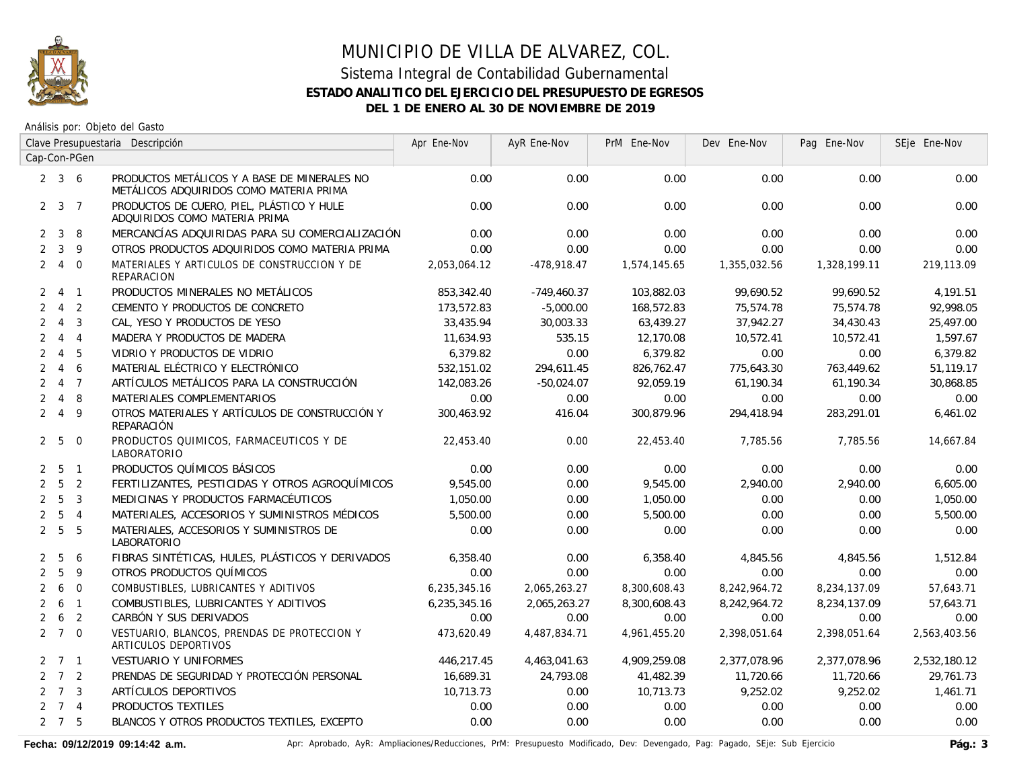

Análisis por: Objeto del Gasto

|                | Clave Presupuestaria Descripción |                         |                                                                                         | Apr Ene-Nov  | AyR Ene-Nov   | PrM Ene-Nov  | Dev Ene-Nov  | Pag Ene-Nov  | SEje Ene-Nov |
|----------------|----------------------------------|-------------------------|-----------------------------------------------------------------------------------------|--------------|---------------|--------------|--------------|--------------|--------------|
|                |                                  | Cap-Con-PGen            |                                                                                         |              |               |              |              |              |              |
|                | $2 \quad 3 \quad 6$              |                         | PRODUCTOS METÁLICOS Y A BASE DE MINERALES NO<br>METÁLICOS ADQUIRIDOS COMO MATERIA PRIMA | 0.00         | 0.00          | 0.00         | 0.00         | 0.00         | 0.00         |
|                | $2 \quad 3 \quad 7$              |                         | PRODUCTOS DE CUERO, PIEL, PLÁSTICO Y HULE<br>ADQUIRIDOS COMO MATERIA PRIMA              | 0.00         | 0.00          | 0.00         | 0.00         | 0.00         | 0.00         |
| $\mathbf{2}$   | $\mathbf{3}$                     | -8                      | MERCANCÍAS ADQUIRIDAS PARA SU COMERCIALIZACIÓN                                          | 0.00         | 0.00          | 0.00         | 0.00         | 0.00         | 0.00         |
| $\overline{2}$ | $\mathbf{3}$                     | 9                       | OTROS PRODUCTOS ADQUIRIDOS COMO MATERIA PRIMA                                           | 0.00         | 0.00          | 0.00         | 0.00         | 0.00         | 0.00         |
|                | 240                              |                         | MATERIALES Y ARTICULOS DE CONSTRUCCION Y DE<br>REPARACION                               | 2,053,064.12 | $-478,918.47$ | 1,574,145.65 | 1,355,032.56 | 1,328,199.11 | 219,113.09   |
|                | 2 4 1                            |                         | PRODUCTOS MINERALES NO METÁLICOS                                                        | 853,342.40   | $-749,460.37$ | 103,882.03   | 99.690.52    | 99.690.52    | 4,191.51     |
| $\overline{2}$ | $\overline{4}$                   | $\overline{2}$          | CEMENTO Y PRODUCTOS DE CONCRETO                                                         | 173,572.83   | $-5,000.00$   | 168,572.83   | 75,574.78    | 75,574.78    | 92,998.05    |
|                | $2 \quad 4$                      | $\overline{\mathbf{3}}$ | CAL, YESO Y PRODUCTOS DE YESO                                                           | 33,435.94    | 30,003.33     | 63,439.27    | 37,942.27    | 34,430.43    | 25,497.00    |
| $\overline{2}$ |                                  | $4\quad 4$              | MADERA Y PRODUCTOS DE MADERA                                                            | 11.634.93    | 535.15        | 12,170.08    | 10.572.41    | 10.572.41    | 1,597.67     |
| $\overline{2}$ |                                  | 4 5                     | VIDRIO Y PRODUCTOS DE VIDRIO                                                            | 6,379.82     | 0.00          | 6,379.82     | 0.00         | 0.00         | 6,379.82     |
| $\overline{2}$ | $\overline{4}$                   | 6                       | MATERIAL ELÉCTRICO Y ELECTRÓNICO                                                        | 532,151.02   | 294,611.45    | 826,762.47   | 775,643.30   | 763,449.62   | 51,119.17    |
| $\mathbf{2}$   |                                  | $4 \overline{7}$        | ARTÍCULOS METÁLICOS PARA LA CONSTRUCCIÓN                                                | 142,083.26   | $-50,024.07$  | 92,059.19    | 61,190.34    | 61,190.34    | 30,868.85    |
|                | $2 \quad 4$                      | 8                       | MATERIALES COMPLEMENTARIOS                                                              | 0.00         | 0.00          | 0.00         | 0.00         | 0.00         | 0.00         |
|                | 249                              |                         | OTROS MATERIALES Y ARTÍCULOS DE CONSTRUCCIÓN Y<br><b>REPARACIÓN</b>                     | 300,463.92   | 416.04        | 300,879.96   | 294,418.94   | 283,291.01   | 6,461.02     |
|                | 2 <sub>5</sub>                   | $\overline{0}$          | PRODUCTOS QUIMICOS, FARMACEUTICOS Y DE<br>LABORATORIO                                   | 22,453.40    | 0.00          | 22,453.40    | 7,785.56     | 7,785.56     | 14,667.84    |
|                | $2\quad 5\quad 1$                |                         | PRODUCTOS QUÍMICOS BÁSICOS                                                              | 0.00         | 0.00          | 0.00         | 0.00         | 0.00         | 0.00         |
|                | $2\quad 5\quad 2$                |                         | FERTILIZANTES, PESTICIDAS Y OTROS AGROQUÍMICOS                                          | 9,545.00     | 0.00          | 9,545.00     | 2,940.00     | 2,940.00     | 6,605.00     |
|                | 2 <sub>5</sub>                   | $\overline{3}$          | MEDICINAS Y PRODUCTOS FARMACÉUTICOS                                                     | 1,050.00     | 0.00          | 1,050.00     | 0.00         | 0.00         | 1,050.00     |
|                | 2 <sub>5</sub>                   | $\overline{4}$          | MATERIALES, ACCESORIOS Y SUMINISTROS MÉDICOS                                            | 5,500.00     | 0.00          | 5,500.00     | 0.00         | 0.00         | 5,500.00     |
|                | 2 <sub>5</sub>                   | $-5$                    | MATERIALES, ACCESORIOS Y SUMINISTROS DE<br>LABORATORIO                                  | 0.00         | 0.00          | 0.00         | 0.00         | 0.00         | 0.00         |
| $\mathbf{2}$   | 5                                | 6                       | FIBRAS SINTÉTICAS, HULES, PLÁSTICOS Y DERIVADOS                                         | 6,358.40     | 0.00          | 6,358.40     | 4,845.56     | 4,845.56     | 1,512.84     |
| $\overline{2}$ | 5                                | 9                       | OTROS PRODUCTOS QUÍMICOS                                                                | 0.00         | 0.00          | 0.00         | 0.00         | 0.00         | 0.00         |
| 2              | 6                                | $\overline{0}$          | COMBUSTIBLES, LUBRICANTES Y ADITIVOS                                                    | 6,235,345.16 | 2,065,263.27  | 8,300,608.43 | 8,242,964.72 | 8,234,137.09 | 57,643.71    |
| $\overline{2}$ | 6                                | $\overline{1}$          | COMBUSTIBLES, LUBRICANTES Y ADITIVOS                                                    | 6,235,345.16 | 2,065,263.27  | 8,300,608.43 | 8,242,964.72 | 8,234,137.09 | 57,643.71    |
|                | 2 6                              | $\overline{2}$          | CARBÓN Y SUS DERIVADOS                                                                  | 0.00         | 0.00          | 0.00         | 0.00         | 0.00         | 0.00         |
|                | $2 \t7 \t0$                      |                         | VESTUARIO, BLANCOS, PRENDAS DE PROTECCION Y<br>ARTICULOS DEPORTIVOS                     | 473,620.49   | 4,487,834.71  | 4,961,455.20 | 2,398,051.64 | 2,398,051.64 | 2,563,403.56 |
|                | $2 \quad 7 \quad 1$              |                         | VESTUARIO Y UNIFORMES                                                                   | 446,217.45   | 4,463,041.63  | 4,909,259.08 | 2,377,078.96 | 2,377,078.96 | 2,532,180.12 |
|                | $2 \quad 7 \quad 2$              |                         | PRENDAS DE SEGURIDAD Y PROTECCIÓN PERSONAL                                              | 16,689.31    | 24,793.08     | 41,482.39    | 11,720.66    | 11,720.66    | 29,761.73    |
|                | $2 \quad 7 \quad 3$              |                         | ARTÍCULOS DEPORTIVOS                                                                    | 10.713.73    | 0.00          | 10,713.73    | 9,252.02     | 9,252.02     | 1,461.71     |
|                | $2 \quad 7 \quad 4$              |                         | PRODUCTOS TEXTILES                                                                      | 0.00         | 0.00          | 0.00         | 0.00         | 0.00         | 0.00         |
|                | $2 \quad 7 \quad 5$              |                         | BLANCOS Y OTROS PRODUCTOS TEXTILES, EXCEPTO                                             | 0.00         | 0.00          | 0.00         | 0.00         | 0.00         | 0.00         |

Fecha: 09/12/2019 09:14:42 a.m. <br>
Pág.: 3<br />
Apr: Aprobado, AyR: Ampliaciones/Reducciones, PrM: Presupuesto Modificado, Dev: Devengado, Pag: Pagado, SEje: Sub Ejercicio **Pág.: 3**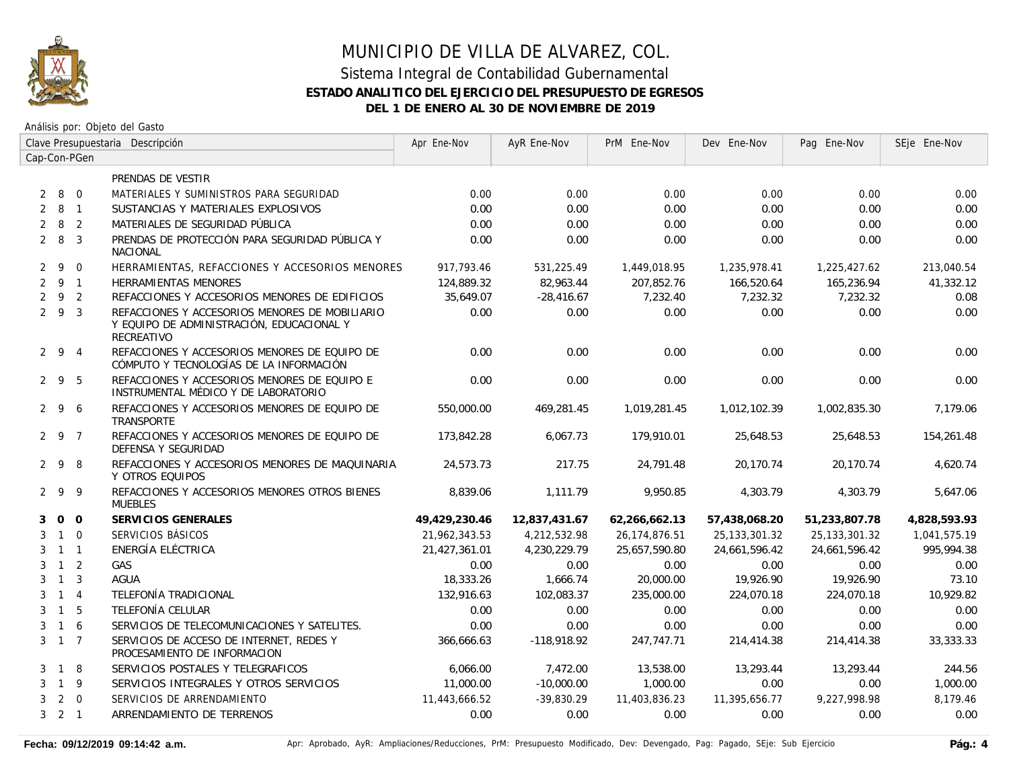

## MUNICIPIO DE VILLA DE ALVAREZ, COL. Sistema Integral de Contabilidad Gubernamental **ESTADO ANALITICO DEL EJERCICIO DEL PRESUPUESTO DE EGRESOS**

**DEL 1 DE ENERO AL 30 DE NOVIEMBRE DE 2019**

Análisis por: Objeto del Gasto

|                | Clave Presupuestaria Descripción |                |                                                                                                           | Apr Ene-Nov   | AyR Ene-Nov   | PrM Ene-Nov   | Dev Ene-Nov      | Pag Ene-Nov      | SEje Ene-Nov |
|----------------|----------------------------------|----------------|-----------------------------------------------------------------------------------------------------------|---------------|---------------|---------------|------------------|------------------|--------------|
|                |                                  | Cap-Con-PGen   |                                                                                                           |               |               |               |                  |                  |              |
|                |                                  |                | PRENDAS DE VESTIR                                                                                         |               |               |               |                  |                  |              |
| $\overline{2}$ | 8 0                              |                | MATERIALES Y SUMINISTROS PARA SEGURIDAD                                                                   | 0.00          | 0.00          | 0.00          | 0.00             | 0.00             | 0.00         |
| $\overline{2}$ | 8 1                              |                | SUSTANCIAS Y MATERIALES EXPLOSIVOS                                                                        | 0.00          | 0.00          | 0.00          | 0.00             | 0.00             | 0.00         |
|                | $2 \quad 8$                      | $\overline{2}$ | MATERIALES DE SEGURIDAD PÚBLICA                                                                           | 0.00          | 0.00          | 0.00          | 0.00             | 0.00             | 0.00         |
|                | $2 \quad 8$                      | $\overline{3}$ | PRENDAS DE PROTECCIÓN PARA SEGURIDAD PÚBLICA Y<br><b>NACIONAL</b>                                         | 0.00          | 0.00          | 0.00          | 0.00             | 0.00             | 0.00         |
|                | $2 \overline{9}$                 | $\Omega$       | HERRAMIENTAS, REFACCIONES Y ACCESORIOS MENORES                                                            | 917,793.46    | 531,225.49    | 1,449,018.95  | 1,235,978.41     | 1,225,427.62     | 213,040.54   |
|                | $2 \quad 9 \quad 1$              |                | <b>HERRAMIENTAS MENORES</b>                                                                               | 124,889.32    | 82,963.44     | 207,852.76    | 166,520.64       | 165,236.94       | 41,332.12    |
| 2              | 9 2                              |                | REFACCIONES Y ACCESORIOS MENORES DE EDIFICIOS                                                             | 35,649.07     | $-28,416.67$  | 7,232.40      | 7,232.32         | 7,232.32         | 0.08         |
|                | 293                              |                | REFACCIONES Y ACCESORIOS MENORES DE MOBILIARIO<br>Y EQUIPO DE ADMINISTRACIÓN, EDUCACIONAL Y<br>RECREATIVO | 0.00          | 0.00          | 0.00          | 0.00             | 0.00             | 0.00         |
|                | $2 \t9 \t4$                      |                | REFACCIONES Y ACCESORIOS MENORES DE EQUIPO DE<br>CÓMPUTO Y TECNOLOGÍAS DE LA INFORMACIÓN                  | 0.00          | 0.00          | 0.00          | 0.00             | 0.00             | 0.00         |
|                | 295                              |                | REFACCIONES Y ACCESORIOS MENORES DE EQUIPO E<br>INSTRUMENTAL MÉDICO Y DE LABORATORIO                      | 0.00          | 0.00          | 0.00          | 0.00             | 0.00             | 0.00         |
|                | 296                              |                | REFACCIONES Y ACCESORIOS MENORES DE EQUIPO DE<br>TRANSPORTE                                               | 550,000.00    | 469,281.45    | 1,019,281.45  | 1,012,102.39     | 1,002,835.30     | 7,179.06     |
|                | 2 9 7                            |                | REFACCIONES Y ACCESORIOS MENORES DE EQUIPO DE<br>DEFENSA Y SEGURIDAD                                      | 173,842.28    | 6,067.73      | 179,910.01    | 25,648.53        | 25,648.53        | 154,261.48   |
|                | 298                              |                | REFACCIONES Y ACCESORIOS MENORES DE MAQUINARIA<br>Y OTROS EQUIPOS                                         | 24,573.73     | 217.75        | 24,791.48     | 20,170.74        | 20,170.74        | 4,620.74     |
|                | 299                              |                | REFACCIONES Y ACCESORIOS MENORES OTROS BIENES<br><b>MUEBLES</b>                                           | 8,839.06      | 1,111.79      | 9,950.85      | 4,303.79         | 4,303.79         | 5,647.06     |
| 3              | 0 <sub>0</sub>                   |                | SERVICIOS GENERALES                                                                                       | 49,429,230.46 | 12,837,431.67 | 62,266,662.13 | 57,438,068.20    | 51,233,807.78    | 4,828,593.93 |
| 3              | $1\quad 0$                       |                | SERVICIOS BÁSICOS                                                                                         | 21,962,343.53 | 4,212,532.98  | 26,174,876.51 | 25, 133, 301. 32 | 25, 133, 301. 32 | 1,041,575.19 |
| 3              | $1 \quad 1$                      |                | ENERGÍA ELÉCTRICA                                                                                         | 21,427,361.01 | 4,230,229.79  | 25,657,590.80 | 24,661,596.42    | 24,661,596.42    | 995,994.38   |
| 3              | $1\quad 2$                       |                | GAS                                                                                                       | 0.00          | 0.00          | 0.00          | 0.00             | 0.00             | 0.00         |
| 3              | $\overline{1}$                   | $\overline{3}$ | <b>AGUA</b>                                                                                               | 18,333.26     | 1,666.74      | 20,000.00     | 19,926.90        | 19,926.90        | 73.10        |
| 3              | $\overline{1}$                   | $\overline{4}$ | TELEFONÍA TRADICIONAL                                                                                     | 132,916.63    | 102,083.37    | 235,000.00    | 224,070.18       | 224,070.18       | 10,929.82    |
| 3              | $\overline{1}$                   | 5              | TELEFONÍA CELULAR                                                                                         | 0.00          | 0.00          | 0.00          | 0.00             | 0.00             | 0.00         |
| 3              | $1\quad6$                        |                | SERVICIOS DE TELECOMUNICACIONES Y SATELITES.                                                              | 0.00          | 0.00          | 0.00          | 0.00             | 0.00             | 0.00         |
|                | $3 \quad 1 \quad 7$              |                | SERVICIOS DE ACCESO DE INTERNET. REDES Y<br>PROCESAMIENTO DE INFORMACION                                  | 366,666.63    | $-118,918.92$ | 247,747.71    | 214,414.38       | 214,414.38       | 33,333.33    |
| 3              | $\overline{1}$                   | 8              | SERVICIOS POSTALES Y TELEGRAFICOS                                                                         | 6,066.00      | 7,472.00      | 13,538.00     | 13,293.44        | 13,293.44        | 244.56       |
| 3              | $1 \quad 9$                      |                | SERVICIOS INTEGRALES Y OTROS SERVICIOS                                                                    | 11,000.00     | $-10,000.00$  | 1,000.00      | 0.00             | 0.00             | 1,000.00     |
| 3              | $2 \quad 0$                      |                | SERVICIOS DE ARRENDAMIENTO                                                                                | 11,443,666.52 | $-39.830.29$  | 11,403,836.23 | 11,395,656.77    | 9,227,998.98     | 8,179.46     |
|                | $3 \quad 2 \quad 1$              |                | ARRENDAMIENTO DE TERRENOS                                                                                 | 0.00          | 0.00          | 0.00          | 0.00             | 0.00             | 0.00         |

Fecha: 09/12/2019 09:14:42 a.m. <br>
Pág.: 4 Aprobado, AyR: Ampliaciones/Reducciones, PrM: Presupuesto Modificado, Dev: Devengado, Pag: Pagado, SEje: Sub Ejercicio **Pág.: 4**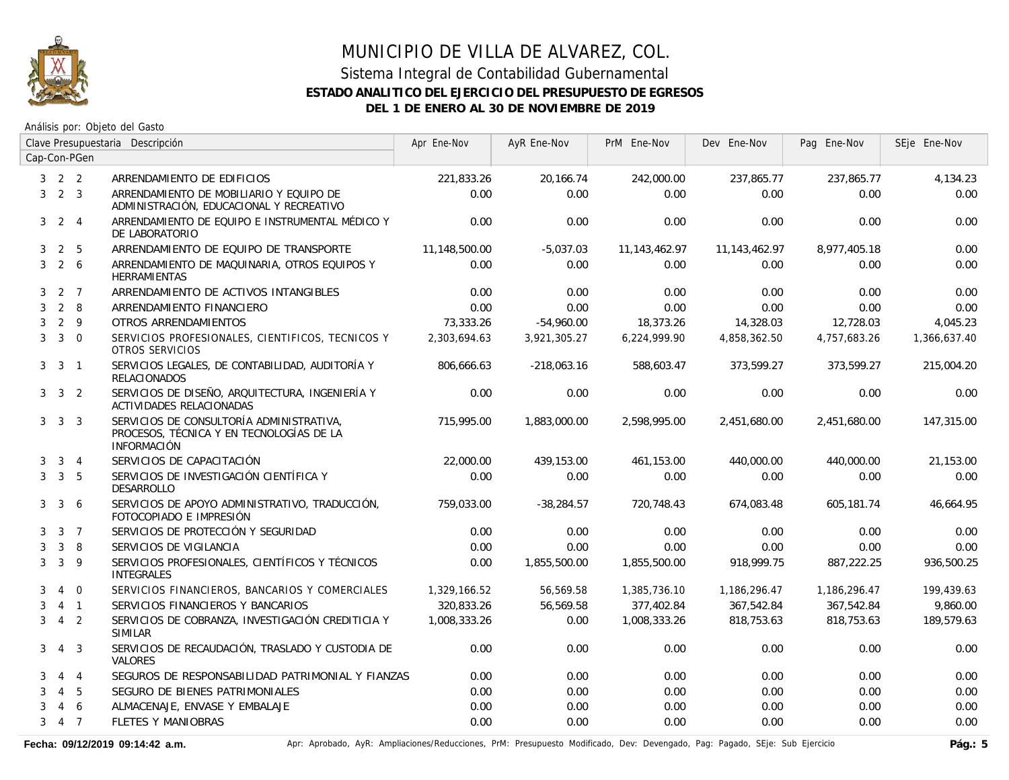

### Sistema Integral de Contabilidad Gubernamental **ESTADO ANALITICO DEL EJERCICIO DEL PRESUPUESTO DE EGRESOS DEL 1 DE ENERO AL 30 DE NOVIEMBRE DE 2019**

Análisis por: Objeto del Gasto

|   | Clave Presupuestaria Descripción |                | Apr Ene-Nov                                                                                                | AyR Ene-Nov   | PrM Ene-Nov   | Dev Ene-Nov      | Pag Ene-Nov      | SEje Ene-Nov |              |
|---|----------------------------------|----------------|------------------------------------------------------------------------------------------------------------|---------------|---------------|------------------|------------------|--------------|--------------|
|   |                                  | Cap-Con-PGen   |                                                                                                            |               |               |                  |                  |              |              |
|   | $3 \quad 2 \quad 2$              |                | ARRENDAMIENTO DE EDIFICIOS                                                                                 | 221,833.26    | 20,166.74     | 242,000.00       | 237,865.77       | 237,865.77   | 4,134.23     |
| 3 | $2 \quad 3$                      |                | ARRENDAMIENTO DE MOBILIARIO Y EQUIPO DE<br>ADMINISTRACIÓN, EDUCACIONAL Y RECREATIVO                        | 0.00          | 0.00          | 0.00             | 0.00             | 0.00         | 0.00         |
| 3 |                                  | $2 \quad 4$    | ARRENDAMIENTO DE EQUIPO E INSTRUMENTAL MÉDICO Y<br>DE LABORATORIO                                          | 0.00          | 0.00          | 0.00             | 0.00             | 0.00         | 0.00         |
| 3 | $\overline{2}$                   | 5              | ARRENDAMIENTO DE EQUIPO DE TRANSPORTE                                                                      | 11,148,500.00 | $-5,037.03$   | 11, 143, 462. 97 | 11, 143, 462. 97 | 8,977,405.18 | 0.00         |
| 3 | $2\quad 6$                       |                | ARRENDAMIENTO DE MAQUINARIA, OTROS EQUIPOS Y<br><b>HERRAMIENTAS</b>                                        | 0.00          | 0.00          | 0.00             | 0.00             | 0.00         | 0.00         |
|   | $3\quad 2\quad 7$                |                | ARRENDAMIENTO DE ACTIVOS INTANGIBLES                                                                       | 0.00          | 0.00          | 0.00             | 0.00             | 0.00         | 0.00         |
| 3 |                                  | $2 \quad 8$    | ARRENDAMIENTO FINANCIERO                                                                                   | 0.00          | 0.00          | 0.00             | 0.00             | 0.00         | 0.00         |
| 3 | $2 \quad 9$                      |                | OTROS ARRENDAMIENTOS                                                                                       | 73,333.26     | $-54,960.00$  | 18,373.26        | 14,328.03        | 12,728.03    | 4,045.23     |
| 3 |                                  | $3 \quad 0$    | SERVICIOS PROFESIONALES, CIENTIFICOS, TECNICOS Y<br>OTROS SERVICIOS                                        | 2,303,694.63  | 3,921,305.27  | 6,224,999.90     | 4,858,362.50     | 4,757,683.26 | 1,366,637.40 |
| 3 | $\overline{3}$                   | $\overline{1}$ | SERVICIOS LEGALES, DE CONTABILIDAD, AUDITORÍA Y<br>RELACIONADOS                                            | 806,666.63    | $-218,063.16$ | 588,603.47       | 373,599.27       | 373,599.27   | 215,004.20   |
|   | $3 \quad 3 \quad 2$              |                | SERVICIOS DE DISEÑO, ARQUITECTURA, INGENIERÍA Y<br>ACTIVIDADES RELACIONADAS                                | 0.00          | 0.00          | 0.00             | 0.00             | 0.00         | 0.00         |
|   | $3 \quad 3 \quad 3$              |                | SERVICIOS DE CONSULTORÍA ADMINISTRATIVA,<br>PROCESOS, TÉCNICA Y EN TECNOLOGÍAS DE LA<br><b>INFORMACIÓN</b> | 715,995.00    | 1,883,000.00  | 2,598,995.00     | 2.451.680.00     | 2.451.680.00 | 147,315.00   |
| 3 |                                  | $3 \quad 4$    | SERVICIOS DE CAPACITACIÓN                                                                                  | 22,000.00     | 439,153.00    | 461,153.00       | 440,000.00       | 440,000.00   | 21,153.00    |
| 3 | 3 <sub>5</sub>                   |                | SERVICIOS DE INVESTIGACIÓN CIENTÍFICA Y<br><b>DESARROLLO</b>                                               | 0.00          | 0.00          | 0.00             | 0.00             | 0.00         | 0.00         |
| 3 | $\mathbf{3}$                     | -6             | SERVICIOS DE APOYO ADMINISTRATIVO, TRADUCCIÓN,<br>FOTOCOPIADO E IMPRESIÓN                                  | 759,033.00    | $-38,284.57$  | 720,748.43       | 674,083.48       | 605,181.74   | 46,664.95    |
| 3 |                                  | 3 <sub>7</sub> | SERVICIOS DE PROTECCIÓN Y SEGURIDAD                                                                        | 0.00          | 0.00          | 0.00             | 0.00             | 0.00         | 0.00         |
| 3 | 3                                | 8              | SERVICIOS DE VIGILANCIA                                                                                    | 0.00          | 0.00          | 0.00             | 0.00             | 0.00         | 0.00         |
| 3 | 3                                | 9              | SERVICIOS PROFESIONALES, CIENTÍFICOS Y TÉCNICOS<br><b>INTEGRALES</b>                                       | 0.00          | 1,855,500.00  | 1,855,500.00     | 918,999.75       | 887,222.25   | 936,500.25   |
| 3 | $\overline{4}$                   | $\overline{0}$ | SERVICIOS FINANCIEROS, BANCARIOS Y COMERCIALES                                                             | 1,329,166.52  | 56,569.58     | 1,385,736.10     | 1,186,296.47     | 1,186,296.47 | 199,439.63   |
| 3 |                                  | $4 \quad 1$    | SERVICIOS FINANCIEROS Y BANCARIOS                                                                          | 320,833.26    | 56,569.58     | 377,402.84       | 367,542.84       | 367,542.84   | 9,860.00     |
| 3 | $\overline{4}$                   | $\overline{2}$ | SERVICIOS DE COBRANZA, INVESTIGACIÓN CREDITICIA Y<br><b>SIMILAR</b>                                        | 1,008,333.26  | 0.00          | 1,008,333.26     | 818,753.63       | 818,753.63   | 189,579.63   |
| 3 | $\overline{4}$                   | $\overline{3}$ | SERVICIOS DE RECAUDACIÓN, TRASLADO Y CUSTODIA DE<br>VALORES                                                | 0.00          | 0.00          | 0.00             | 0.00             | 0.00         | 0.00         |
| 3 | $\overline{4}$                   | $\overline{4}$ | SEGUROS DE RESPONSABILIDAD PATRIMONIAL Y FIANZAS                                                           | 0.00          | 0.00          | 0.00             | 0.00             | 0.00         | 0.00         |
| 3 | $\overline{4}$                   | 5              | SEGURO DE BIENES PATRIMONIALES                                                                             | 0.00          | 0.00          | 0.00             | 0.00             | 0.00         | 0.00         |
| 3 | $\overline{4}$                   | 6              | ALMACENAJE, ENVASE Y EMBALAJE                                                                              | 0.00          | 0.00          | 0.00             | 0.00             | 0.00         | 0.00         |
| 3 | $4 \overline{7}$                 |                | <b>FLETES Y MANIOBRAS</b>                                                                                  | 0.00          | 0.00          | 0.00             | 0.00             | 0.00         | 0.00         |

Fecha: 09/12/2019 09:14:42 a.m. **Antical Access** April Aprobado, AyR: Ampliaciones/Reducciones, PrM: Presupuesto Modificado, Dev: Devengado, Pag: Pagado, SEje: Sub Ejercicio **Pág.: 5**<br>Pág.: 5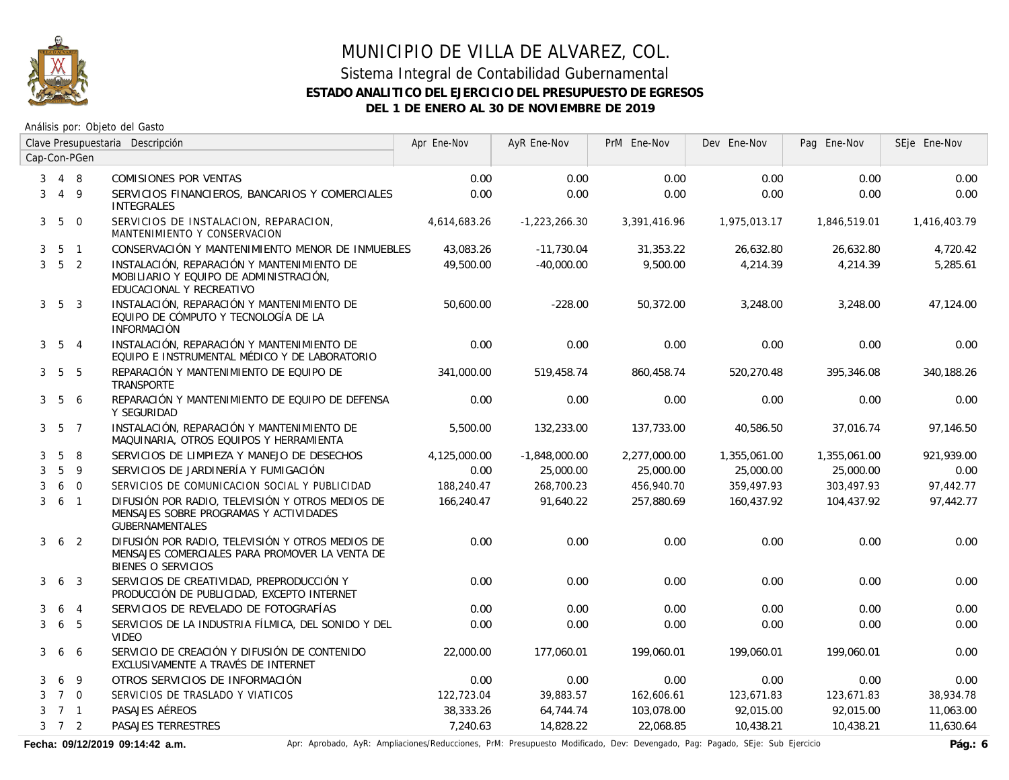

### Sistema Integral de Contabilidad Gubernamental **ESTADO ANALITICO DEL EJERCICIO DEL PRESUPUESTO DE EGRESOS DEL 1 DE ENERO AL 30 DE NOVIEMBRE DE 2019**

Análisis por: Objeto del Gasto

|                | Clave Presupuestaria Descripción |                 | Apr Ene-Nov                                                                                                              | AyR Ene-Nov  | PrM Ene-Nov     | Dev Ene-Nov  | Pag Ene-Nov  | SEje Ene-Nov |              |
|----------------|----------------------------------|-----------------|--------------------------------------------------------------------------------------------------------------------------|--------------|-----------------|--------------|--------------|--------------|--------------|
|                |                                  | Cap-Con-PGen    |                                                                                                                          |              |                 |              |              |              |              |
| 3              | 4 8                              |                 | COMISIONES POR VENTAS                                                                                                    | 0.00         | 0.00            | 0.00         | 0.00         | 0.00         | 0.00         |
| 3              |                                  | $4\overline{9}$ | SERVICIOS FINANCIEROS, BANCARIOS Y COMERCIALES<br><b>INTEGRALES</b>                                                      | 0.00         | 0.00            | 0.00         | 0.00         | 0.00         | 0.00         |
| 3 <sup>7</sup> | $5\overline{)}$                  | $\overline{0}$  | SERVICIOS DE INSTALACION, REPARACION,<br>MANTENIMIENTO Y CONSERVACION                                                    | 4,614,683.26 | $-1,223,266.30$ | 3,391,416.96 | 1,975,013.17 | 1,846,519.01 | 1,416,403.79 |
| 3              |                                  | 5 1             | CONSERVACIÓN Y MANTENIMIENTO MENOR DE INMUEBLES                                                                          | 43,083.26    | $-11,730.04$    | 31,353.22    | 26,632.80    | 26,632.80    | 4,720.42     |
| $\mathbf{3}$   | 5 <sub>2</sub>                   |                 | INSTALACIÓN, REPARACIÓN Y MANTENIMIENTO DE<br>MOBILIARIO Y EQUIPO DE ADMINISTRACIÓN,<br>EDUCACIONAL Y RECREATIVO         | 49,500.00    | $-40,000.00$    | 9,500.00     | 4,214.39     | 4,214.39     | 5,285.61     |
|                | $3\quad 5\quad 3$                |                 | INSTALACIÓN, REPARACIÓN Y MANTENIMIENTO DE<br>EQUIPO DE CÓMPUTO Y TECNOLOGÍA DE LA<br><b>INFORMACIÓN</b>                 | 50,600.00    | $-228.00$       | 50,372.00    | 3,248.00     | 3,248.00     | 47,124.00    |
|                | $3\quad 5\quad 4$                |                 | INSTALACIÓN, REPARACIÓN Y MANTENIMIENTO DE<br>EQUIPO E INSTRUMENTAL MÉDICO Y DE LABORATORIO                              | 0.00         | 0.00            | 0.00         | 0.00         | 0.00         | 0.00         |
|                | $3\quad 5\quad 5$                |                 | REPARACIÓN Y MANTENIMIENTO DE EQUIPO DE<br>TRANSPORTE                                                                    | 341,000.00   | 519,458.74      | 860,458.74   | 520,270.48   | 395,346.08   | 340.188.26   |
|                | $3\quad 5$                       | 6               | REPARACIÓN Y MANTENIMIENTO DE EQUIPO DE DEFENSA<br>Y SEGURIDAD                                                           | 0.00         | 0.00            | 0.00         | 0.00         | 0.00         | 0.00         |
|                | $3\quad 5\quad 7$                |                 | INSTALACIÓN, REPARACIÓN Y MANTENIMIENTO DE<br>MAQUINARIA, OTROS EQUIPOS Y HERRAMIENTA                                    | 5,500.00     | 132,233.00      | 137,733.00   | 40,586.50    | 37,016.74    | 97,146.50    |
| 3              | 5                                | 8               | SERVICIOS DE LIMPIEZA Y MANEJO DE DESECHOS                                                                               | 4,125,000.00 | $-1,848,000.00$ | 2,277,000.00 | 1,355,061.00 | 1,355,061.00 | 921,939.00   |
| 3              | 5                                | 9               | SERVICIOS DE JARDINERÍA Y FUMIGACIÓN                                                                                     | 0.00         | 25,000.00       | 25,000.00    | 25,000.00    | 25,000.00    | 0.00         |
| 3              |                                  | 6 0             | SERVICIOS DE COMUNICACION SOCIAL Y PUBLICIDAD                                                                            | 188,240.47   | 268,700.23      | 456,940.70   | 359,497.93   | 303,497.93   | 97,442.77    |
| 3              | 6 <sub>1</sub>                   |                 | DIFUSIÓN POR RADIO, TELEVISIÓN Y OTROS MEDIOS DE<br>MENSAJES SOBRE PROGRAMAS Y ACTIVIDADES<br><b>GUBERNAMENTALES</b>     | 166,240.47   | 91,640.22       | 257,880.69   | 160,437.92   | 104,437.92   | 97,442.77    |
| 3              | 6 <sub>2</sub>                   |                 | DIFUSIÓN POR RADIO. TELEVISIÓN Y OTROS MEDIOS DE<br>MENSAJES COMERCIALES PARA PROMOVER LA VENTA DE<br>BIENES O SERVICIOS | 0.00         | 0.00            | 0.00         | 0.00         | 0.00         | 0.00         |
| 3              | 6 <sub>3</sub>                   |                 | SERVICIOS DE CREATIVIDAD, PREPRODUCCIÓN Y<br>PRODUCCIÓN DE PUBLICIDAD, EXCEPTO INTERNET                                  | 0.00         | 0.00            | 0.00         | 0.00         | 0.00         | 0.00         |
| 3              | 6                                | $\overline{4}$  | SERVICIOS DE REVELADO DE FOTOGRAFÍAS                                                                                     | 0.00         | 0.00            | 0.00         | 0.00         | 0.00         | 0.00         |
| 3              | 6                                | 5               | SERVICIOS DE LA INDUSTRIA FÍLMICA, DEL SONIDO Y DEL<br><b>VIDEO</b>                                                      | 0.00         | 0.00            | 0.00         | 0.00         | 0.00         | 0.00         |
| 3              | 6                                | 6               | SERVICIO DE CREACIÓN Y DIFUSIÓN DE CONTENIDO<br>EXCLUSIVAMENTE A TRAVÉS DE INTERNET                                      | 22,000.00    | 177,060.01      | 199,060.01   | 199,060.01   | 199,060.01   | 0.00         |
| 3              | 6                                | 9               | OTROS SERVICIOS DE INFORMACIÓN                                                                                           | 0.00         | 0.00            | 0.00         | 0.00         | 0.00         | 0.00         |
| 3              | 7 0                              |                 | SERVICIOS DE TRASLADO Y VIATICOS                                                                                         | 122,723.04   | 39,883.57       | 162,606.61   | 123,671.83   | 123,671.83   | 38,934.78    |
| 3              | 7 1                              |                 | PASAJES AÉREOS                                                                                                           | 38,333.26    | 64,744.74       | 103,078.00   | 92,015.00    | 92,015.00    | 11,063.00    |
|                | $3 \quad 7 \quad 2$              |                 | PASAJES TERRESTRES                                                                                                       | 7,240.63     | 14,828.22       | 22,068.85    | 10,438.21    | 10,438.21    | 11,630.64    |

Fecha: 09/12/2019 09:14:42 a.m. **Aprical Aprical Agelia AyR:** Ampliaciones/Reducciones, PrM: Presupuesto Modificado, Dev: Devengado, Pag: Pagado, SEje: Sub Ejercicio **Pág.: 6**<br>Pág.: 6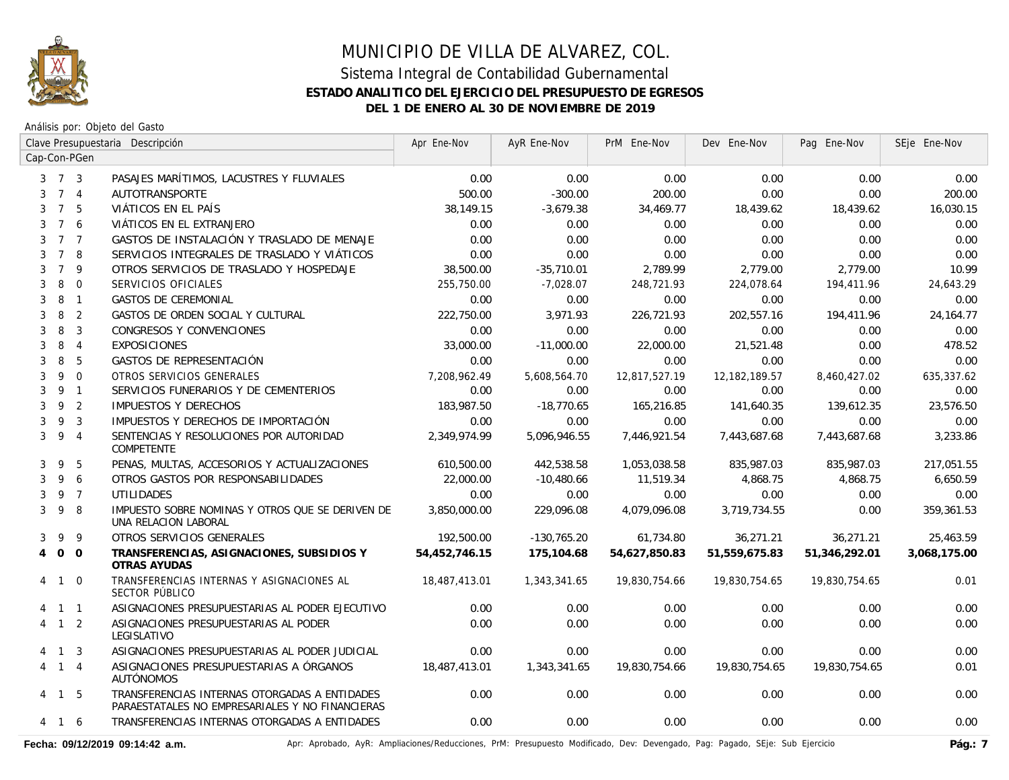

Análisis por: Objeto del Gasto

|                     | Clave Presupuestaria Descripción |                | Apr Ene-Nov                                                                                      | AyR Ene-Nov   | PrM Ene-Nov   | Dev Ene-Nov   | Pag Ene-Nov   | SEje Ene-Nov  |              |
|---------------------|----------------------------------|----------------|--------------------------------------------------------------------------------------------------|---------------|---------------|---------------|---------------|---------------|--------------|
| Cap-Con-PGen        |                                  |                |                                                                                                  |               |               |               |               |               |              |
| $3 \quad 7 \quad 3$ |                                  |                | PASAJES MARÍTIMOS, LACUSTRES Y FLUVIALES                                                         | 0.00          | 0.00          | 0.00          | 0.00          | 0.00          | 0.00         |
| 3                   |                                  | 7 <sub>4</sub> | AUTOTRANSPORTE                                                                                   | 500.00        | $-300.00$     | 200.00        | 0.00          | 0.00          | 200.00       |
| 3                   | $\overline{7}$                   | 5              | VIÁTICOS EN EL PAÍS                                                                              | 38,149.15     | $-3,679.38$   | 34,469.77     | 18,439.62     | 18,439.62     | 16,030.15    |
| 3                   | $\overline{7}$                   | 6              | VIÁTICOS EN EL EXTRANJERO                                                                        | 0.00          | 0.00          | 0.00          | 0.00          | 0.00          | 0.00         |
| 3                   |                                  | 7 <sub>7</sub> | GASTOS DE INSTALACIÓN Y TRASLADO DE MENAJE                                                       | 0.00          | 0.00          | 0.00          | 0.00          | 0.00          | 0.00         |
| 3                   | $7^{\circ}$                      | 8              | SERVICIOS INTEGRALES DE TRASLADO Y VIÁTICOS                                                      | 0.00          | 0.00          | 0.00          | 0.00          | 0.00          | 0.00         |
| $\overline{7}$<br>3 |                                  | 9              | OTROS SERVICIOS DE TRASLADO Y HOSPEDAJE                                                          | 38,500.00     | $-35,710.01$  | 2,789.99      | 2,779.00      | 2,779.00      | 10.99        |
| 8<br>3              |                                  | $\overline{0}$ | SERVICIOS OFICIALES                                                                              | 255,750.00    | $-7,028.07$   | 248,721.93    | 224,078.64    | 194,411.96    | 24,643.29    |
| 8<br>3              |                                  | $\overline{1}$ | <b>GASTOS DE CEREMONIAL</b>                                                                      | 0.00          | 0.00          | 0.00          | 0.00          | 0.00          | 0.00         |
| 8<br>3              |                                  | 2              | GASTOS DE ORDEN SOCIAL Y CULTURAL                                                                | 222.750.00    | 3.971.93      | 226,721.93    | 202,557.16    | 194,411.96    | 24.164.77    |
| 8<br>3              |                                  | $\mathbf{3}$   | CONGRESOS Y CONVENCIONES                                                                         | 0.00          | 0.00          | 0.00          | 0.00          | 0.00          | 0.00         |
| 8<br>3              |                                  | $\overline{4}$ | <b>EXPOSICIONES</b>                                                                              | 33,000.00     | $-11,000.00$  | 22,000.00     | 21,521.48     | 0.00          | 478.52       |
| 8<br>3              |                                  | 5              | GASTOS DE REPRESENTACIÓN                                                                         | 0.00          | 0.00          | 0.00          | 0.00          | 0.00          | 0.00         |
| 3                   | 9                                | $\overline{0}$ | OTROS SERVICIOS GENERALES                                                                        | 7,208,962.49  | 5,608,564.70  | 12,817,527.19 | 12,182,189.57 | 8,460,427.02  | 635,337.62   |
| 9<br>3              |                                  | $\overline{1}$ | SERVICIOS FUNERARIOS Y DE CEMENTERIOS                                                            | 0.00          | 0.00          | 0.00          | 0.00          | 0.00          | 0.00         |
| 9<br>3              |                                  | 2              | <b>IMPUESTOS Y DERECHOS</b>                                                                      | 183,987.50    | $-18.770.65$  | 165,216.85    | 141,640.35    | 139,612.35    | 23,576.50    |
| 9<br>3              |                                  | 3              | IMPUESTOS Y DERECHOS DE IMPORTACIÓN                                                              | 0.00          | 0.00          | 0.00          | 0.00          | 0.00          | 0.00         |
| 3                   | 9                                | $\overline{4}$ | SENTENCIAS Y RESOLUCIONES POR AUTORIDAD<br>COMPETENTE                                            | 2,349,974.99  | 5,096,946.55  | 7,446,921.54  | 7,443,687.68  | 7,443,687.68  | 3,233.86     |
| 3                   | 9                                | 5              | PENAS, MULTAS, ACCESORIOS Y ACTUALIZACIONES                                                      | 610,500.00    | 442,538.58    | 1,053,038.58  | 835,987.03    | 835,987.03    | 217,051.55   |
| 3                   | 9                                | 6              | OTROS GASTOS POR RESPONSABILIDADES                                                               | 22,000.00     | $-10,480.66$  | 11,519.34     | 4,868.75      | 4,868.75      | 6,650.59     |
| 3                   |                                  | 9 7            | <b>UTILIDADES</b>                                                                                | 0.00          | 0.00          | 0.00          | 0.00          | 0.00          | 0.00         |
| 9<br>3              |                                  | 8              | IMPUESTO SOBRE NOMINAS Y OTROS QUE SE DERIVEN DE<br>UNA RELACION LABORAL                         | 3.850.000.00  | 229.096.08    | 4.079.096.08  | 3,719,734.55  | 0.00          | 359,361.53   |
| 9<br>3              |                                  | 9              | OTROS SERVICIOS GENERALES                                                                        | 192,500.00    | $-130,765.20$ | 61,734.80     | 36,271.21     | 36,271.21     | 25,463.59    |
| $\overline{O}$<br>4 |                                  | $\overline{0}$ | TRANSFERENCIAS, ASIGNACIONES, SUBSIDIOS Y<br>OTRAS AYUDAS                                        | 54,452,746.15 | 175,104.68    | 54,627,850.83 | 51,559,675.83 | 51,346,292.01 | 3,068,175.00 |
| 4                   |                                  | $1\quad 0$     | TRANSFERENCIAS INTERNAS Y ASIGNACIONES AL<br>SECTOR PÚBLICO                                      | 18,487,413.01 | 1,343,341.65  | 19,830,754.66 | 19,830,754.65 | 19,830,754.65 | 0.01         |
|                     |                                  | $1 \quad 1$    | ASIGNACIONES PRESUPUESTARIAS AL PODER EJECUTIVO                                                  | 0.00          | 0.00          | 0.00          | 0.00          | 0.00          | 0.00         |
|                     |                                  | $1\quad 2$     | ASIGNACIONES PRESUPUESTARIAS AL PODER<br>LEGISLATIVO                                             | 0.00          | 0.00          | 0.00          | 0.00          | 0.00          | 0.00         |
| $\overline{1}$      |                                  | 3              | ASIGNACIONES PRESUPUESTARIAS AL PODER JUDICIAL                                                   | 0.00          | 0.00          | 0.00          | 0.00          | 0.00          | 0.00         |
| 4                   | $\mathbf{1}$                     | $\overline{4}$ | ASIGNACIONES PRESUPUESTARIAS A ÓRGANOS<br><b>AUTÓNOMOS</b>                                       | 18,487,413.01 | 1,343,341.65  | 19,830,754.66 | 19,830,754.65 | 19,830,754.65 | 0.01         |
| 4                   | $\mathbf{1}$                     | 5              | TRANSFERENCIAS INTERNAS OTORGADAS A ENTIDADES<br>PARAESTATALES NO EMPRESARIALES Y NO FINANCIERAS | 0.00          | 0.00          | 0.00          | 0.00          | 0.00          | 0.00         |
| 4                   |                                  | 1 6            | TRANSFERENCIAS INTERNAS OTORGADAS A ENTIDADES                                                    | 0.00          | 0.00          | 0.00          | 0.00          | 0.00          | 0.00         |

Fecha: 09/12/2019 09:14:42 a.m. **Antical Access** Aprobado, AyR: Ampliaciones/Reducciones, PrM: Presupuesto Modificado, Dev: Devengado, Pag: Pagado, SEje: Sub Ejercicio **Pág.: 7**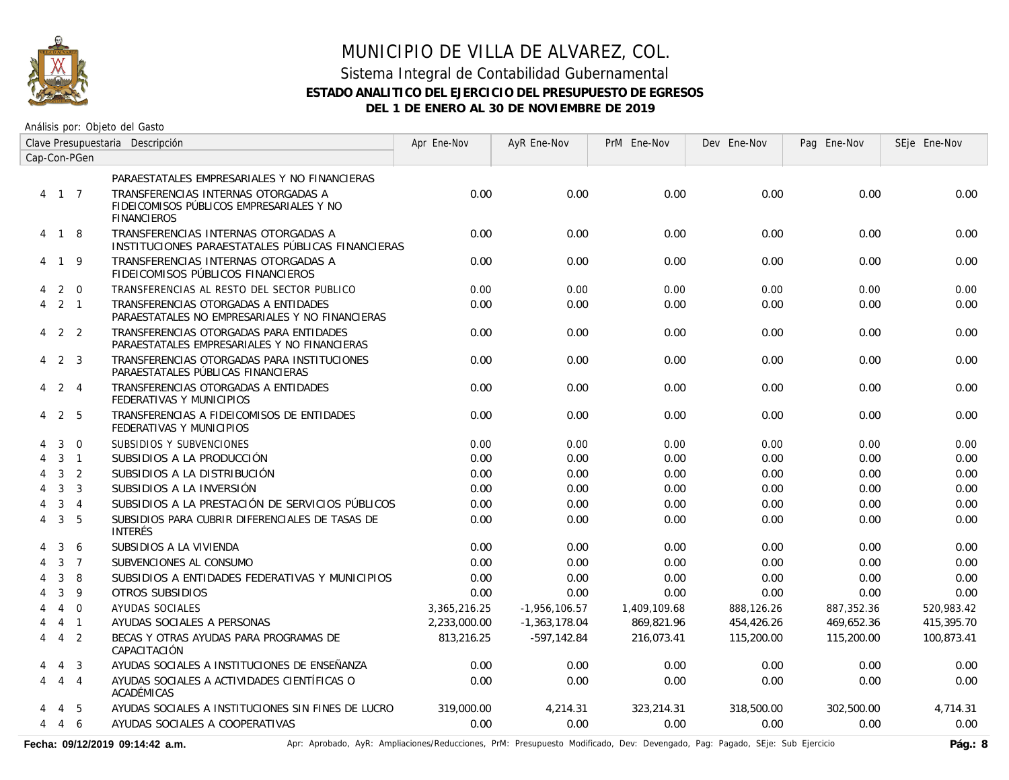

### Sistema Integral de Contabilidad Gubernamental **ESTADO ANALITICO DEL EJERCICIO DEL PRESUPUESTO DE EGRESOS DEL 1 DE ENERO AL 30 DE NOVIEMBRE DE 2019**

Análisis por: Objeto del Gasto

|   | Clave Presupuestaria Descripción |                |                                                                                                       | Apr Ene-Nov  | AyR Ene-Nov     | PrM Ene-Nov  | Dev Ene-Nov | Pag Ene-Nov | SEje Ene-Nov |
|---|----------------------------------|----------------|-------------------------------------------------------------------------------------------------------|--------------|-----------------|--------------|-------------|-------------|--------------|
|   |                                  | Cap-Con-PGen   |                                                                                                       |              |                 |              |             |             |              |
|   |                                  |                | PARAESTATALES EMPRESARIALES Y NO FINANCIERAS                                                          |              |                 |              |             |             |              |
|   | 4 1 7                            |                | TRANSFERENCIAS INTERNAS OTORGADAS A<br>FIDEICOMISOS PÚBLICOS EMPRESARIALES Y NO<br><b>FINANCIEROS</b> | 0.00         | 0.00            | 0.00         | 0.00        | 0.00        | 0.00         |
|   | 4 1 8                            |                | TRANSFERENCIAS INTERNAS OTORGADAS A<br>INSTITUCIONES PARAESTATALES PÚBLICAS FINANCIERAS               | 0.00         | 0.00            | 0.00         | 0.00        | 0.00        | 0.00         |
|   | 4 1 9                            |                | TRANSFERENCIAS INTERNAS OTORGADAS A<br>FIDEICOMISOS PÚBLICOS FINANCIEROS                              | 0.00         | 0.00            | 0.00         | 0.00        | 0.00        | 0.00         |
| 4 |                                  | $2\quad 0$     | TRANSFERENCIAS AL RESTO DEL SECTOR PUBLICO                                                            | 0.00         | 0.00            | 0.00         | 0.00        | 0.00        | 0.00         |
| 4 |                                  | $2 \quad 1$    | TRANSFERENCIAS OTORGADAS A ENTIDADES<br>PARAESTATALES NO EMPRESARIALES Y NO FINANCIERAS               | 0.00         | 0.00            | 0.00         | 0.00        | 0.00        | 0.00         |
|   | $4$ 2 2                          |                | TRANSFERENCIAS OTORGADAS PARA ENTIDADES<br>PARAESTATALES EMPRESARIALES Y NO FINANCIERAS               | 0.00         | 0.00            | 0.00         | 0.00        | 0.00        | 0.00         |
| 4 | 2 3                              |                | TRANSFERENCIAS OTORGADAS PARA INSTITUCIONES<br>PARAESTATALES PÚBLICAS FINANCIERAS                     | 0.00         | 0.00            | 0.00         | 0.00        | 0.00        | 0.00         |
| 4 | 2 4                              |                | TRANSFERENCIAS OTORGADAS A ENTIDADES<br>FEDERATIVAS Y MUNICIPIOS                                      | 0.00         | 0.00            | 0.00         | 0.00        | 0.00        | 0.00         |
| 4 | 2                                | - 5            | TRANSFERENCIAS A FIDEICOMISOS DE ENTIDADES<br>FEDERATIVAS Y MUNICIPIOS                                | 0.00         | 0.00            | 0.00         | 0.00        | 0.00        | 0.00         |
|   | 3                                | $\mathbf 0$    | SUBSIDIOS Y SUBVENCIONES                                                                              | 0.00         | 0.00            | 0.00         | 0.00        | 0.00        | 0.00         |
| 4 |                                  | $3 \quad 1$    | SUBSIDIOS A LA PRODUCCIÓN                                                                             | 0.00         | 0.00            | 0.00         | 0.00        | 0.00        | 0.00         |
| 4 | $\mathbf{3}$                     | 2              | SUBSIDIOS A LA DISTRIBUCIÓN                                                                           | 0.00         | 0.00            | 0.00         | 0.00        | 0.00        | 0.00         |
| 4 | 3                                | 3              | SUBSIDIOS A LA INVERSIÓN                                                                              | 0.00         | 0.00            | 0.00         | 0.00        | 0.00        | 0.00         |
|   | 3                                | $\overline{4}$ | SUBSIDIOS A LA PRESTACIÓN DE SERVICIOS PÚBLICOS                                                       | 0.00         | 0.00            | 0.00         | 0.00        | 0.00        | 0.00         |
| 4 | 3                                | 5              | SUBSIDIOS PARA CUBRIR DIFERENCIALES DE TASAS DE<br><b>INTERÉS</b>                                     | 0.00         | 0.00            | 0.00         | 0.00        | 0.00        | 0.00         |
|   | 3                                | 6              | SUBSIDIOS A LA VIVIENDA                                                                               | 0.00         | 0.00            | 0.00         | 0.00        | 0.00        | 0.00         |
|   | $\mathbf{3}$                     | $\overline{7}$ | SUBVENCIONES AL CONSUMO                                                                               | 0.00         | 0.00            | 0.00         | 0.00        | 0.00        | 0.00         |
|   | 3                                | 8              | SUBSIDIOS A ENTIDADES FEDERATIVAS Y MUNICIPIOS                                                        | 0.00         | 0.00            | 0.00         | 0.00        | 0.00        | 0.00         |
|   | 3                                | 9              | OTROS SUBSIDIOS                                                                                       | 0.00         | 0.00            | 0.00         | 0.00        | 0.00        | 0.00         |
|   | $\overline{4}$                   | $\Omega$       | AYUDAS SOCIALES                                                                                       | 3,365,216.25 | $-1,956,106.57$ | 1,409,109.68 | 888,126.26  | 887,352.36  | 520,983.42   |
|   |                                  | 4 1            | AYUDAS SOCIALES A PERSONAS                                                                            | 2,233,000.00 | $-1,363,178.04$ | 869,821.96   | 454,426.26  | 469,652.36  | 415,395.70   |
| 4 |                                  | $4\quad 2$     | BECAS Y OTRAS AYUDAS PARA PROGRAMAS DE<br>CAPACITACIÓN                                                | 813,216.25   | $-597, 142.84$  | 216,073.41   | 115,200.00  | 115,200.00  | 100,873.41   |
|   | 4                                | $\overline{3}$ | AYUDAS SOCIALES A INSTITUCIONES DE ENSEÑANZA                                                          | 0.00         | 0.00            | 0.00         | 0.00        | 0.00        | 0.00         |
| 4 |                                  | $4\quad 4$     | AYUDAS SOCIALES A ACTIVIDADES CIENTÍFICAS O<br>ACADÉMICAS                                             | 0.00         | 0.00            | 0.00         | 0.00        | 0.00        | 0.00         |
|   | 4                                | 5              | AYUDAS SOCIALES A INSTITUCIONES SIN FINES DE LUCRO                                                    | 319,000.00   | 4,214.31        | 323,214.31   | 318,500.00  | 302,500.00  | 4,714.31     |
| 4 | 4 6                              |                | AYUDAS SOCIALES A COOPERATIVAS                                                                        | 0.00         | 0.00            | 0.00         | 0.00        | 0.00        | 0.00         |

Fecha: 09/12/2019 09:14:42 a.m. **Ancher Aprobado, AyR: Ampliaciones/Reducciones, PrM: Presupuesto Modificado, Dev: Devengado, Pag: Pagado, SEje: Sub Ejercicio Pág.: 8**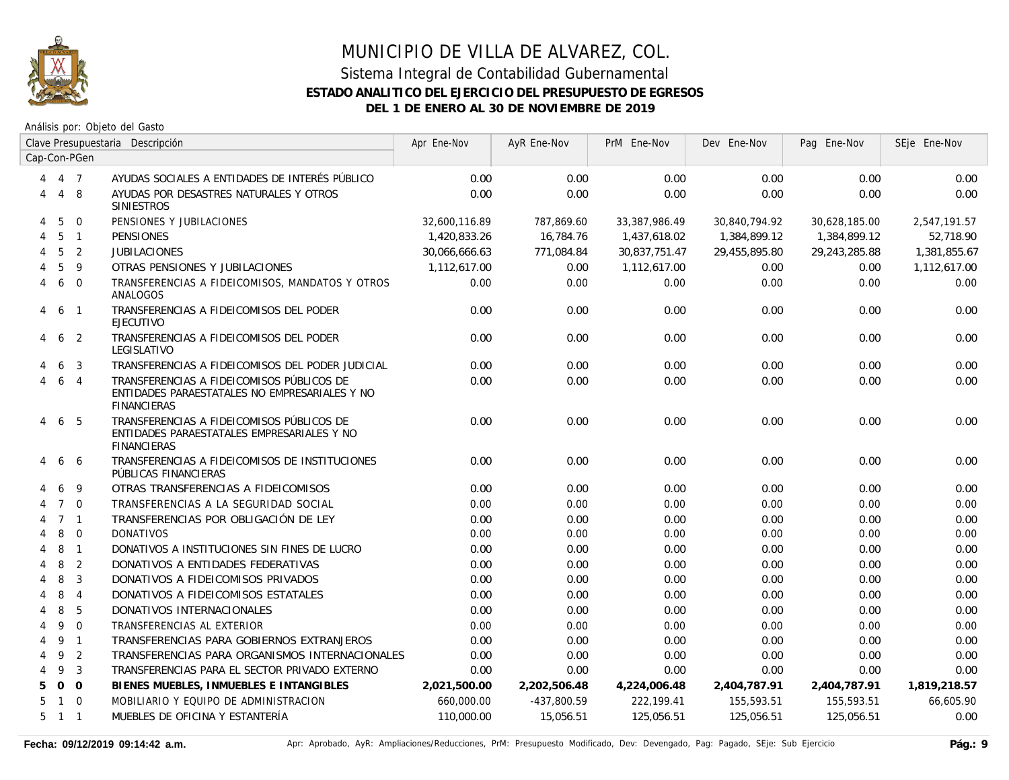

|   | Clave Presupuestaria Descripción |                | Apr Ene-Nov                                                                                                   | AyR Ene-Nov   | PrM Ene-Nov   | Dev Ene-Nov   | Pag Ene-Nov   | SEje Ene-Nov  |              |
|---|----------------------------------|----------------|---------------------------------------------------------------------------------------------------------------|---------------|---------------|---------------|---------------|---------------|--------------|
|   |                                  | Cap-Con-PGen   |                                                                                                               |               |               |               |               |               |              |
| 4 | 4 7                              |                | AYUDAS SOCIALES A ENTIDADES DE INTERÉS PÚBLICO                                                                | 0.00          | 0.00          | 0.00          | 0.00          | 0.00          | 0.00         |
| 4 |                                  | 4 8            | AYUDAS POR DESASTRES NATURALES Y OTROS<br><b>SINIESTROS</b>                                                   | 0.00          | 0.00          | 0.00          | 0.00          | 0.00          | 0.00         |
| 4 | 5                                | $\mathbf{0}$   | PENSIONES Y JUBILACIONES                                                                                      | 32,600,116.89 | 787,869.60    | 33,387,986.49 | 30,840,794.92 | 30,628,185.00 | 2,547,191.57 |
| 4 | 5                                | $\overline{1}$ | <b>PENSIONES</b>                                                                                              | 1,420,833.26  | 16,784.76     | 1,437,618.02  | 1,384,899.12  | 1,384,899.12  | 52,718.90    |
|   | 5                                | $\overline{2}$ | <b>JUBILACIONES</b>                                                                                           | 30,066,666.63 | 771,084.84    | 30,837,751.47 | 29,455,895.80 | 29,243,285.88 | 1,381,855.67 |
|   | 5                                | 9              | OTRAS PENSIONES Y JUBILACIONES                                                                                | 1,112,617.00  | 0.00          | 1,112,617.00  | 0.00          | 0.00          | 1,112,617.00 |
| 4 | 6                                | $\overline{0}$ | TRANSFERENCIAS A FIDEICOMISOS, MANDATOS Y OTROS<br>ANALOGOS                                                   | 0.00          | 0.00          | 0.00          | 0.00          | 0.00          | 0.00         |
| 4 | 6                                | $\overline{1}$ | TRANSFERENCIAS A FIDEICOMISOS DEL PODER<br><b>EJECUTIVO</b>                                                   | 0.00          | 0.00          | 0.00          | 0.00          | 0.00          | 0.00         |
| 4 | 6                                | 2              | TRANSFERENCIAS A FIDEICOMISOS DEL PODER<br>LEGISLATIVO                                                        | 0.00          | 0.00          | 0.00          | 0.00          | 0.00          | 0.00         |
|   | 6                                | 3              | TRANSFERENCIAS A FIDEICOMISOS DEL PODER JUDICIAL                                                              | 0.00          | 0.00          | 0.00          | 0.00          | 0.00          | 0.00         |
|   | 6                                | $\overline{4}$ | TRANSFERENCIAS A FIDEICOMISOS PÚBLICOS DE<br>ENTIDADES PARAESTATALES NO EMPRESARIALES Y NO<br>FINANCIERAS     | 0.00          | 0.00          | 0.00          | 0.00          | 0.00          | 0.00         |
| 4 | 6                                | - 5            | TRANSFERENCIAS A FIDEICOMISOS PÚBLICOS DE<br>ENTIDADES PARAESTATALES EMPRESARIALES Y NO<br><b>FINANCIERAS</b> | 0.00          | 0.00          | 0.00          | 0.00          | 0.00          | 0.00         |
|   | 6                                | 6              | TRANSFERENCIAS A FIDEICOMISOS DE INSTITUCIONES<br>PÚBLICAS FINANCIERAS                                        | 0.00          | 0.00          | 0.00          | 0.00          | 0.00          | 0.00         |
|   | 6                                | 9              | OTRAS TRANSFERENCIAS A FIDEICOMISOS                                                                           | 0.00          | 0.00          | 0.00          | 0.00          | 0.00          | 0.00         |
|   | $\overline{7}$                   | $\Omega$       | TRANSFERENCIAS A LA SEGURIDAD SOCIAL                                                                          | 0.00          | 0.00          | 0.00          | 0.00          | 0.00          | 0.00         |
|   | $7^{\circ}$                      | $\overline{1}$ | TRANSFERENCIAS POR OBLIGACIÓN DE LEY                                                                          | 0.00          | 0.00          | 0.00          | 0.00          | 0.00          | 0.00         |
|   | 8                                | $\overline{0}$ | <b>DONATIVOS</b>                                                                                              | 0.00          | 0.00          | 0.00          | 0.00          | 0.00          | 0.00         |
| 4 | 8                                | $\overline{1}$ | DONATIVOS A INSTITUCIONES SIN FINES DE LUCRO                                                                  | 0.00          | 0.00          | 0.00          | 0.00          | 0.00          | 0.00         |
| 4 | 8                                | $\overline{2}$ | DONATIVOS A ENTIDADES FEDERATIVAS                                                                             | 0.00          | 0.00          | 0.00          | 0.00          | 0.00          | 0.00         |
| 4 | 8                                | 3              | DONATIVOS A FIDEICOMISOS PRIVADOS                                                                             | 0.00          | 0.00          | 0.00          | 0.00          | 0.00          | 0.00         |
| 4 | 8                                | $\overline{4}$ | DONATIVOS A FIDEICOMISOS ESTATALES                                                                            | 0.00          | 0.00          | 0.00          | 0.00          | 0.00          | 0.00         |
| 4 | 8                                | 5              | DONATIVOS INTERNACIONALES                                                                                     | 0.00          | 0.00          | 0.00          | 0.00          | 0.00          | 0.00         |
| 4 | 9                                | $\overline{0}$ | TRANSFERENCIAS AL EXTERIOR                                                                                    | 0.00          | 0.00          | 0.00          | 0.00          | 0.00          | 0.00         |
| 4 | 9                                | $\overline{1}$ | TRANSFERENCIAS PARA GOBIERNOS EXTRANJEROS                                                                     | 0.00          | 0.00          | 0.00          | 0.00          | 0.00          | 0.00         |
| 4 | 9                                | $\overline{2}$ | TRANSFERENCIAS PARA ORGANISMOS INTERNACIONALES                                                                | 0.00          | 0.00          | 0.00          | 0.00          | 0.00          | 0.00         |
| 4 | 9                                | $\overline{3}$ | TRANSFERENCIAS PARA EL SECTOR PRIVADO EXTERNO                                                                 | 0.00          | 0.00          | 0.00          | 0.00          | 0.00          | 0.00         |
| 5 |                                  | $0\quad 0$     | BIENES MUEBLES, INMUEBLES E INTANGIBLES                                                                       | 2,021,500.00  | 2,202,506.48  | 4,224,006.48  | 2,404,787.91  | 2,404,787.91  | 1,819,218.57 |
| 5 | $\mathbf{1}$                     | $\Omega$       | MOBILIARIO Y EQUIPO DE ADMINISTRACION                                                                         | 660,000.00    | $-437,800.59$ | 222,199.41    | 155,593.51    | 155,593.51    | 66,605.90    |
|   | $5 \quad 1 \quad 1$              |                | MUEBLES DE OFICINA Y ESTANTERÍA                                                                               | 110,000.00    | 15,056.51     | 125,056.51    | 125,056.51    | 125,056.51    | 0.00         |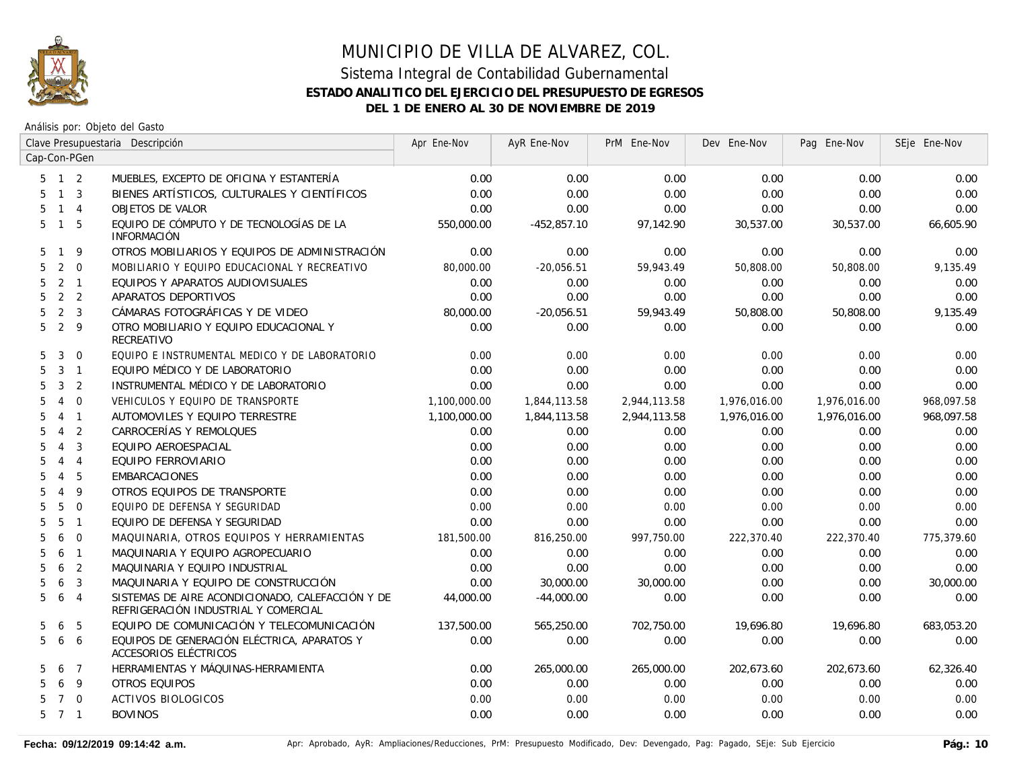

|                     | Clave Presupuestaria Descripción |                | Apr Ene-Nov                                                                              | AyR Ene-Nov  | PrM Ene-Nov   | Dev Ene-Nov  | Pag Ene-Nov  | SEje Ene-Nov |            |
|---------------------|----------------------------------|----------------|------------------------------------------------------------------------------------------|--------------|---------------|--------------|--------------|--------------|------------|
| Cap-Con-PGen        |                                  |                |                                                                                          |              |               |              |              |              |            |
| $5$ 1 2             |                                  |                | MUEBLES, EXCEPTO DE OFICINA Y ESTANTERÍA                                                 | 0.00         | 0.00          | 0.00         | 0.00         | 0.00         | 0.00       |
| 5                   | 1 <sup>3</sup>                   |                | BIENES ARTÍSTICOS, CULTURALES Y CIENTÍFICOS                                              | 0.00         | 0.00          | 0.00         | 0.00         | 0.00         | 0.00       |
| 5                   | $\mathbf{1}$                     | $\overline{4}$ | OBJETOS DE VALOR                                                                         | 0.00         | 0.00          | 0.00         | 0.00         | 0.00         | 0.00       |
| 5                   | $\overline{1}$                   | 5              | EQUIPO DE CÓMPUTO Y DE TECNOLOGÍAS DE LA<br><b>INFORMACIÓN</b>                           | 550,000.00   | $-452,857.10$ | 97,142.90    | 30,537.00    | 30,537.00    | 66,605.90  |
| 5                   | -1                               | 9              | OTROS MOBILIARIOS Y EQUIPOS DE ADMINISTRACIÓN                                            | 0.00         | 0.00          | 0.00         | 0.00         | 0.00         | 0.00       |
| 5                   | 2                                | $\mathbf 0$    | MOBILIARIO Y EQUIPO EDUCACIONAL Y RECREATIVO                                             | 80,000.00    | $-20,056.51$  | 59,943.49    | 50,808.00    | 50,808.00    | 9,135.49   |
| 5                   | $\overline{2}$                   | $\overline{1}$ | EQUIPOS Y APARATOS AUDIOVISUALES                                                         | 0.00         | 0.00          | 0.00         | 0.00         | 0.00         | 0.00       |
| 5                   | 2 <sub>2</sub>                   |                | APARATOS DEPORTIVOS                                                                      | 0.00         | 0.00          | 0.00         | 0.00         | 0.00         | 0.00       |
| 5                   | 2                                | 3              | CÁMARAS FOTOGRÁFICAS Y DE VIDEO                                                          | 80,000.00    | $-20,056.51$  | 59,943.49    | 50,808.00    | 50,808.00    | 9,135.49   |
| 5                   | $\overline{2}$                   | 9              | OTRO MOBILIARIO Y EQUIPO EDUCACIONAL Y<br>RECREATIVO                                     | 0.00         | 0.00          | 0.00         | 0.00         | 0.00         | 0.00       |
| 5                   | 3                                | $\overline{0}$ | EQUIPO E INSTRUMENTAL MEDICO Y DE LABORATORIO                                            | 0.00         | 0.00          | 0.00         | 0.00         | 0.00         | 0.00       |
| 5                   | $\mathbf{3}$                     | $\overline{1}$ | EQUIPO MÉDICO Y DE LABORATORIO                                                           | 0.00         | 0.00          | 0.00         | 0.00         | 0.00         | 0.00       |
| 5                   | 3                                | 2              | INSTRUMENTAL MÉDICO Y DE LABORATORIO                                                     | 0.00         | 0.00          | 0.00         | 0.00         | 0.00         | 0.00       |
| 5                   | $\overline{4}$                   | $\mathbf 0$    | VEHICULOS Y EQUIPO DE TRANSPORTE                                                         | 1,100,000.00 | 1,844,113.58  | 2,944,113.58 | 1,976,016.00 | 1,976,016.00 | 968,097.58 |
| 5                   | $\overline{4}$                   | $\overline{1}$ | AUTOMOVILES Y EQUIPO TERRESTRE                                                           | 1,100,000.00 | 1,844,113.58  | 2,944,113.58 | 1,976,016.00 | 1,976,016.00 | 968,097.58 |
| 5                   | $\overline{4}$                   | $\overline{2}$ | CARROCERÍAS Y REMOLQUES                                                                  | 0.00         | 0.00          | 0.00         | 0.00         | 0.00         | 0.00       |
| 5                   | $\overline{4}$                   | 3              | EQUIPO AEROESPACIAL                                                                      | 0.00         | 0.00          | 0.00         | 0.00         | 0.00         | 0.00       |
| 5                   | $\overline{4}$                   | $\overline{4}$ | EQUIPO FERROVIARIO                                                                       | 0.00         | 0.00          | 0.00         | 0.00         | 0.00         | 0.00       |
| 5                   | $\overline{4}$                   | 5              | <b>EMBARCACIONES</b>                                                                     | 0.00         | 0.00          | 0.00         | 0.00         | 0.00         | 0.00       |
| 5                   | $\overline{4}$                   | 9              | OTROS EQUIPOS DE TRANSPORTE                                                              | 0.00         | 0.00          | 0.00         | 0.00         | 0.00         | 0.00       |
| 5                   | 5                                | $\overline{0}$ | EQUIPO DE DEFENSA Y SEGURIDAD                                                            | 0.00         | 0.00          | 0.00         | 0.00         | 0.00         | 0.00       |
| 5                   | 5                                | $\overline{1}$ | EQUIPO DE DEFENSA Y SEGURIDAD                                                            | 0.00         | 0.00          | 0.00         | 0.00         | 0.00         | 0.00       |
| 5                   | 6                                | $\Omega$       | MAQUINARIA, OTROS EQUIPOS Y HERRAMIENTAS                                                 | 181,500.00   | 816,250.00    | 997,750.00   | 222,370.40   | 222,370.40   | 775,379.60 |
| 5                   | 6                                | $\overline{1}$ | MAQUINARIA Y EQUIPO AGROPECUARIO                                                         | 0.00         | 0.00          | 0.00         | 0.00         | 0.00         | 0.00       |
| 5                   | 6                                | 2              | MAQUINARIA Y EQUIPO INDUSTRIAL                                                           | 0.00         | 0.00          | 0.00         | 0.00         | 0.00         | 0.00       |
| 5                   | 6                                | $\overline{3}$ | MAQUINARIA Y EQUIPO DE CONSTRUCCIÓN                                                      | 0.00         | 30,000.00     | 30,000.00    | 0.00         | 0.00         | 30,000.00  |
| 5                   | 6                                | $\overline{4}$ | SISTEMAS DE AIRE ACONDICIONADO, CALEFACCIÓN Y DE<br>REFRIGERACIÓN INDUSTRIAL Y COMERCIAL | 44,000.00    | $-44,000.00$  | 0.00         | 0.00         | 0.00         | 0.00       |
| 5                   | 6                                | 5              | EQUIPO DE COMUNICACIÓN Y TELECOMUNICACIÓN                                                | 137,500.00   | 565,250.00    | 702,750.00   | 19,696.80    | 19,696.80    | 683,053.20 |
| 5 <sup>1</sup>      | 6                                | 6              | EQUIPOS DE GENERACIÓN ELÉCTRICA, APARATOS Y<br>ACCESORIOS ELÉCTRICOS                     | 0.00         | 0.00          | 0.00         | 0.00         | 0.00         | 0.00       |
| 5                   | 6                                | $\overline{7}$ | HERRAMIENTAS Y MÁQUINAS-HERRAMIENTA                                                      | 0.00         | 265,000.00    | 265,000.00   | 202,673.60   | 202,673.60   | 62,326.40  |
| 5                   | 6                                | 9              | <b>OTROS EQUIPOS</b>                                                                     | 0.00         | 0.00          | 0.00         | 0.00         | 0.00         | 0.00       |
|                     | $\overline{7}$                   | $\overline{0}$ | <b>ACTIVOS BIOLOGICOS</b>                                                                | 0.00         | 0.00          | 0.00         | 0.00         | 0.00         | 0.00       |
| $5 \quad 7 \quad 1$ |                                  |                | <b>BOVINOS</b>                                                                           | 0.00         | 0.00          | 0.00         | 0.00         | 0.00         | 0.00       |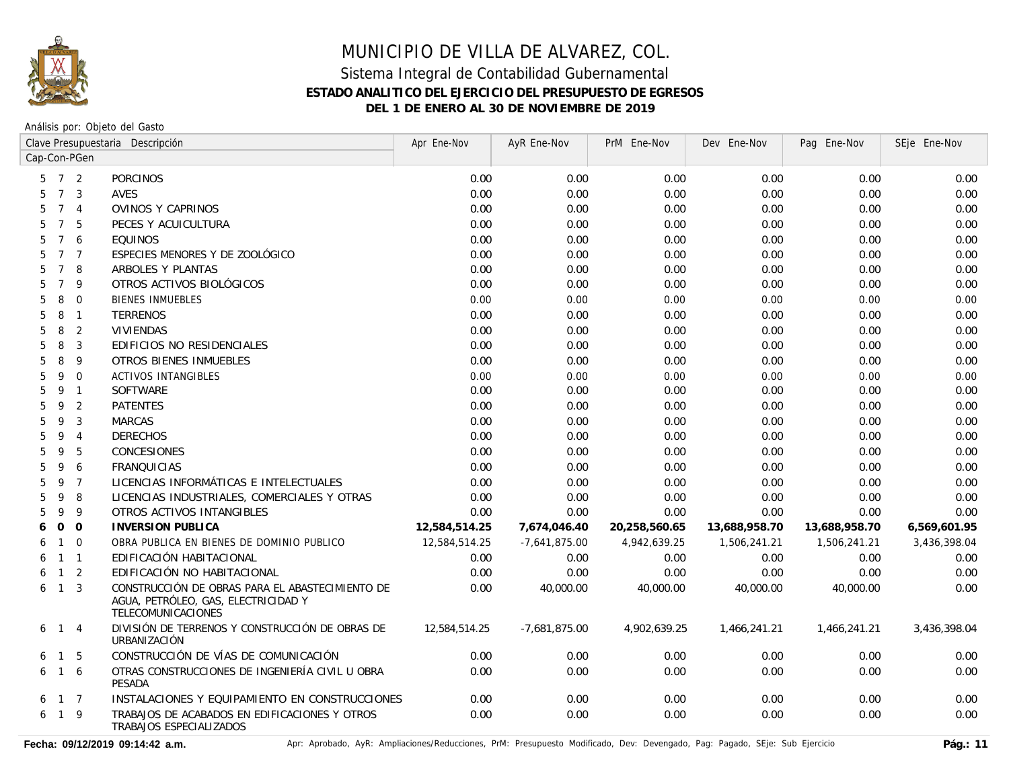

Análisis por: Objeto del Gasto

|   |                     |                | Clave Presupuestaria Descripción                                                                             | Apr Ene-Nov   | AyR Ene-Nov     | PrM Ene-Nov   | Dev Ene-Nov   | Pag Ene-Nov   | SEje Ene-Nov |
|---|---------------------|----------------|--------------------------------------------------------------------------------------------------------------|---------------|-----------------|---------------|---------------|---------------|--------------|
|   |                     | Cap-Con-PGen   |                                                                                                              |               |                 |               |               |               |              |
|   | $5 \quad 7 \quad 2$ |                | <b>PORCINOS</b>                                                                                              | 0.00          | 0.00            | 0.00          | 0.00          | 0.00          | 0.00         |
| 5 | $7\overline{ }$     | 3              | <b>AVES</b>                                                                                                  | 0.00          | 0.00            | 0.00          | 0.00          | 0.00          | 0.00         |
| 5 | $\overline{7}$      | $\overline{4}$ | OVINOS Y CAPRINOS                                                                                            | 0.00          | 0.00            | 0.00          | 0.00          | 0.00          | 0.00         |
| 5 | $\overline{7}$      | 5              | PECES Y ACUICULTURA                                                                                          | 0.00          | 0.00            | 0.00          | 0.00          | 0.00          | 0.00         |
| 5 | $\overline{7}$      | 6              | <b>EQUINOS</b>                                                                                               | 0.00          | 0.00            | 0.00          | 0.00          | 0.00          | 0.00         |
| 5 | $7\overline{ }$     | $\overline{7}$ | ESPECIES MENORES Y DE ZOOLÓGICO                                                                              | 0.00          | 0.00            | 0.00          | 0.00          | 0.00          | 0.00         |
| 5 | $7^{\circ}$         | 8              | ARBOLES Y PLANTAS                                                                                            | 0.00          | 0.00            | 0.00          | 0.00          | 0.00          | 0.00         |
| 5 | $\overline{7}$      | 9              | OTROS ACTIVOS BIOLÓGICOS                                                                                     | 0.00          | 0.00            | 0.00          | 0.00          | 0.00          | 0.00         |
| 5 | 8                   | $\mathbf 0$    | <b>BIENES INMUEBLES</b>                                                                                      | 0.00          | 0.00            | 0.00          | 0.00          | 0.00          | 0.00         |
| 5 | 8                   | $\mathbf{1}$   | <b>TERRENOS</b>                                                                                              | 0.00          | 0.00            | 0.00          | 0.00          | 0.00          | 0.00         |
| 5 | 8                   | $\overline{2}$ | <b>VIVIENDAS</b>                                                                                             | 0.00          | 0.00            | 0.00          | 0.00          | 0.00          | 0.00         |
| 5 | 8                   | 3              | EDIFICIOS NO RESIDENCIALES                                                                                   | 0.00          | 0.00            | 0.00          | 0.00          | 0.00          | 0.00         |
| 5 | 8                   | 9              | OTROS BIENES INMUEBLES                                                                                       | 0.00          | 0.00            | 0.00          | 0.00          | 0.00          | 0.00         |
| 5 | 9                   | $\mathbf 0$    | ACTIVOS INTANGIBLES                                                                                          | 0.00          | 0.00            | 0.00          | 0.00          | 0.00          | 0.00         |
| 5 | 9                   | $\mathbf{1}$   | <b>SOFTWARE</b>                                                                                              | 0.00          | 0.00            | 0.00          | 0.00          | 0.00          | 0.00         |
| 5 | 9                   | 2              | <b>PATENTES</b>                                                                                              | 0.00          | 0.00            | 0.00          | 0.00          | 0.00          | 0.00         |
| 5 | 9                   | 3              | <b>MARCAS</b>                                                                                                | 0.00          | 0.00            | 0.00          | 0.00          | 0.00          | 0.00         |
| 5 | 9                   | $\overline{4}$ | <b>DERECHOS</b>                                                                                              | 0.00          | 0.00            | 0.00          | 0.00          | 0.00          | 0.00         |
| 5 | 9                   | 5              | <b>CONCESIONES</b>                                                                                           | 0.00          | 0.00            | 0.00          | 0.00          | 0.00          | 0.00         |
| 5 | 9                   | 6              | <b>FRANQUICIAS</b>                                                                                           | 0.00          | 0.00            | 0.00          | 0.00          | 0.00          | 0.00         |
| 5 | 9                   | $\overline{7}$ | LICENCIAS INFORMÁTICAS E INTELECTUALES                                                                       | 0.00          | 0.00            | 0.00          | 0.00          | 0.00          | 0.00         |
| 5 | 9                   | 8              | LICENCIAS INDUSTRIALES, COMERCIALES Y OTRAS                                                                  | 0.00          | 0.00            | 0.00          | 0.00          | 0.00          | 0.00         |
| 5 | 9                   | 9              | OTROS ACTIVOS INTANGIBLES                                                                                    | 0.00          | 0.00            | 0.00          | 0.00          | 0.00          | 0.00         |
| 6 | $\overline{O}$      | $\overline{O}$ | <b>INVERSION PUBLICA</b>                                                                                     | 12,584,514.25 | 7,674,046.40    | 20,258,560.65 | 13,688,958.70 | 13,688,958.70 | 6,569,601.95 |
| 6 | $\overline{1}$      | $\mathbf{0}$   | OBRA PUBLICA EN BIENES DE DOMINIO PUBLICO                                                                    | 12,584,514.25 | $-7,641,875.00$ | 4,942,639.25  | 1,506,241.21  | 1,506,241.21  | 3,436,398.04 |
| 6 | $1 \quad 1$         |                | EDIFICACIÓN HABITACIONAL                                                                                     | 0.00          | 0.00            | 0.00          | 0.00          | 0.00          | 0.00         |
| 6 |                     | $1\quad 2$     | EDIFICACIÓN NO HABITACIONAL                                                                                  | 0.00          | 0.00            | 0.00          | 0.00          | 0.00          | 0.00         |
| 6 | $1 \quad 3$         |                | CONSTRUCCIÓN DE OBRAS PARA EL ABASTECIMIENTO DE<br>AGUA, PETRÓLEO, GAS, ELECTRICIDAD Y<br>TELECOMUNICACIONES | 0.00          | 40,000.00       | 40,000.00     | 40,000.00     | 40,000.00     | 0.00         |
| 6 | 1 4                 |                | DIVISIÓN DE TERRENOS Y CONSTRUCCIÓN DE OBRAS DE<br>URBANIZACIÓN                                              | 12,584,514.25 | -7,681,875.00   | 4,902,639.25  | 1,466,241.21  | 1,466,241.21  | 3,436,398.04 |
| 6 | $\mathbf{1}$        | 5              | CONSTRUCCIÓN DE VÍAS DE COMUNICACIÓN                                                                         | 0.00          | 0.00            | 0.00          | 0.00          | 0.00          | 0.00         |
| 6 | $1\quad6$           |                | OTRAS CONSTRUCCIONES DE INGENIERÍA CIVIL U OBRA<br><b>PESADA</b>                                             | 0.00          | 0.00            | 0.00          | 0.00          | 0.00          | 0.00         |
| 6 | $1 \quad 7$         |                | INSTALACIONES Y EQUIPAMIENTO EN CONSTRUCCIONES                                                               | 0.00          | 0.00            | 0.00          | 0.00          | 0.00          | 0.00         |
| 6 | $\overline{1}$      | 9              | TRABAJOS DE ACABADOS EN EDIFICACIONES Y OTROS<br>TRABAJOS ESPECIALIZADOS                                     | 0.00          | 0.00            | 0.00          | 0.00          | 0.00          | 0.00         |

Fecha: 09/12/2019 09:14:42 a.m. <br>
Pág.: 11<br />
Apr: Aprobado, AyR: Ampliaciones/Reducciones, PrM: Presupuesto Modificado, Dev: Devengado, Pag: Pagado, SEje: Sub Ejercicio Pág.: 11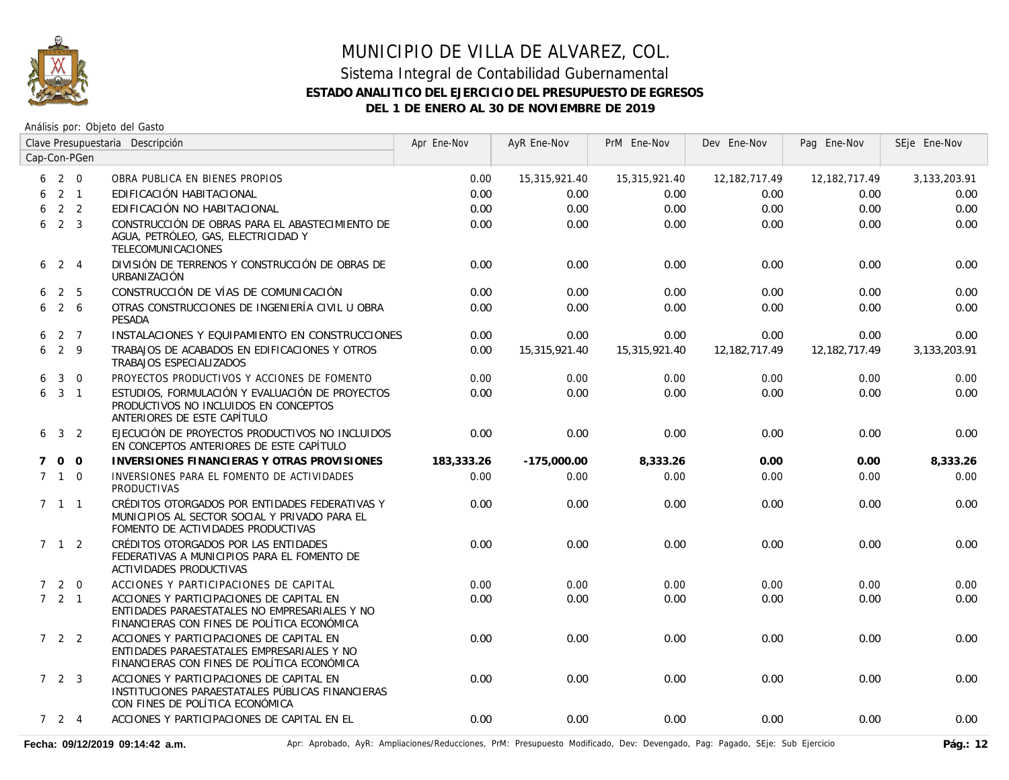

### Sistema Integral de Contabilidad Gubernamental **ESTADO ANALITICO DEL EJERCICIO DEL PRESUPUESTO DE EGRESOS DEL 1 DE ENERO AL 30 DE NOVIEMBRE DE 2019**

Análisis por: Objeto del Gasto

|             | Clave Presupuestaria Descripción |                |                                                                                                                                          | Apr Ene-Nov | AyR Ene-Nov   | PrM Ene-Nov   | Dev Ene-Nov     | Pag Ene-Nov     | SEje Ene-Nov |
|-------------|----------------------------------|----------------|------------------------------------------------------------------------------------------------------------------------------------------|-------------|---------------|---------------|-----------------|-----------------|--------------|
|             |                                  | Cap-Con-PGen   |                                                                                                                                          |             |               |               |                 |                 |              |
| 6           | 2 0                              |                | OBRA PUBLICA EN BIENES PROPIOS                                                                                                           | 0.00        | 15,315,921.40 | 15,315,921.40 | 12,182,717.49   | 12, 182, 717.49 | 3,133,203.91 |
| 6           |                                  | $2 \quad 1$    | EDIFICACIÓN HABITACIONAL                                                                                                                 | 0.00        | 0.00          | 0.00          | 0.00            | 0.00            | 0.00         |
| 6           |                                  | 2 <sub>2</sub> | EDIFICACIÓN NO HABITACIONAL                                                                                                              | 0.00        | 0.00          | 0.00          | 0.00            | 0.00            | 0.00         |
| 6           | 2 <sup>3</sup>                   |                | CONSTRUCCIÓN DE OBRAS PARA EL ABASTECIMIENTO DE<br>AGUA, PETRÓLEO, GAS, ELECTRICIDAD Y<br>TELECOMUNICACIONES                             | 0.00        | 0.00          | 0.00          | 0.00            | 0.00            | 0.00         |
| 6           | $2 \quad 4$                      |                | DIVISIÓN DE TERRENOS Y CONSTRUCCIÓN DE OBRAS DE<br>URBANIZACIÓN                                                                          | 0.00        | 0.00          | 0.00          | 0.00            | 0.00            | 0.00         |
| 6.          | 2 5                              |                | CONSTRUCCIÓN DE VÍAS DE COMUNICACIÓN                                                                                                     | 0.00        | 0.00          | 0.00          | 0.00            | 0.00            | 0.00         |
| 6           | $2\overline{6}$                  |                | OTRAS CONSTRUCCIONES DE INGENIERÍA CIVIL U OBRA<br><b>PESADA</b>                                                                         | 0.00        | 0.00          | 0.00          | 0.00            | 0.00            | 0.00         |
| 6           | 2 7                              |                | INSTALACIONES Y EQUIPAMIENTO EN CONSTRUCCIONES                                                                                           | 0.00        | 0.00          | 0.00          | 0.00            | 0.00            | 0.00         |
| 6           | $2 \quad 9$                      |                | TRABAJOS DE ACABADOS EN EDIFICACIONES Y OTROS<br>TRABAJOS ESPECIALIZADOS                                                                 | 0.00        | 15,315,921.40 | 15,315,921.40 | 12, 182, 717.49 | 12,182,717.49   | 3,133,203.91 |
| 6           | $\mathbf{3}$                     | $\overline{0}$ | PROYECTOS PRODUCTIVOS Y ACCIONES DE FOMENTO                                                                                              | 0.00        | 0.00          | 0.00          | 0.00            | 0.00            | 0.00         |
|             | $6\quad 3\quad 1$                |                | ESTUDIOS, FORMULACIÓN Y EVALUACIÓN DE PROYECTOS<br>PRODUCTIVOS NO INCLUIDOS EN CONCEPTOS<br>ANTERIORES DE ESTE CAPÍTULO                  | 0.00        | 0.00          | 0.00          | 0.00            | 0.00            | 0.00         |
|             | $6 \t3 \t2$                      |                | EJECUCIÓN DE PROYECTOS PRODUCTIVOS NO INCLUIDOS<br>EN CONCEPTOS ANTERIORES DE ESTE CAPÍTULO                                              | 0.00        | 0.00          | 0.00          | 0.00            | 0.00            | 0.00         |
| $7^{\circ}$ | 0 <sub>0</sub>                   |                | INVERSIONES FINANCIERAS Y OTRAS PROVISIONES                                                                                              | 183,333.26  | $-175,000.00$ | 8,333.26      | 0.00            | 0.00            | 8,333.26     |
|             | $7 \quad 1 \quad 0$              |                | INVERSIONES PARA EL FOMENTO DE ACTIVIDADES<br><b>PRODUCTIVAS</b>                                                                         | 0.00        | 0.00          | 0.00          | 0.00            | 0.00            | 0.00         |
|             | $7 \quad 1 \quad 1$              |                | CRÉDITOS OTORGADOS POR ENTIDADES FEDERATIVAS Y<br>MUNICIPIOS AL SECTOR SOCIAL Y PRIVADO PARA EL<br>FOMENTO DE ACTIVIDADES PRODUCTIVAS    | 0.00        | 0.00          | 0.00          | 0.00            | 0.00            | 0.00         |
|             | $7 \quad 1 \quad 2$              |                | CRÉDITOS OTORGADOS POR LAS ENTIDADES<br>FEDERATIVAS A MUNICIPIOS PARA EL FOMENTO DE<br>ACTIVIDADES PRODUCTIVAS                           | 0.00        | 0.00          | 0.00          | 0.00            | 0.00            | 0.00         |
|             | $7 2 0$                          |                | ACCIONES Y PARTICIPACIONES DE CAPITAL                                                                                                    | 0.00        | 0.00          | 0.00          | 0.00            | 0.00            | 0.00         |
|             | $7 \quad 2 \quad 1$              |                | ACCIONES Y PARTICIPACIONES DE CAPITAL EN<br>ENTIDADES PARAESTATALES NO EMPRESARIALES Y NO<br>FINANCIERAS CON FINES DE POLÍTICA ECONÓMICA | 0.00        | 0.00          | 0.00          | 0.00            | 0.00            | 0.00         |
|             | $722$                            |                | ACCIONES Y PARTICIPACIONES DE CAPITAL EN<br>ENTIDADES PARAESTATALES EMPRESARIALES Y NO<br>FINANCIERAS CON FINES DE POLÍTICA ECONÓMICA    | 0.00        | 0.00          | 0.00          | 0.00            | 0.00            | 0.00         |
|             | 723                              |                | ACCIONES Y PARTICIPACIONES DE CAPITAL EN<br>INSTITUCIONES PARAESTATALES PÚBLICAS FINANCIERAS<br>CON FINES DE POLÍTICA ECONÓMICA          | 0.00        | 0.00          | 0.00          | 0.00            | 0.00            | 0.00         |
|             | 724                              |                | ACCIONES Y PARTICIPACIONES DE CAPITAL EN EL                                                                                              | 0.00        | 0.00          | 0.00          | 0.00            | 0.00            | 0.00         |

Fecha: 09/12/2019 09:14:42 a.m. **Antical Accordiones/Reducciones, PrM: Presupuesto Modificado**, Dev: Devengado, Pag: Pagado, SEje: Sub Ejercicio Pág.: 12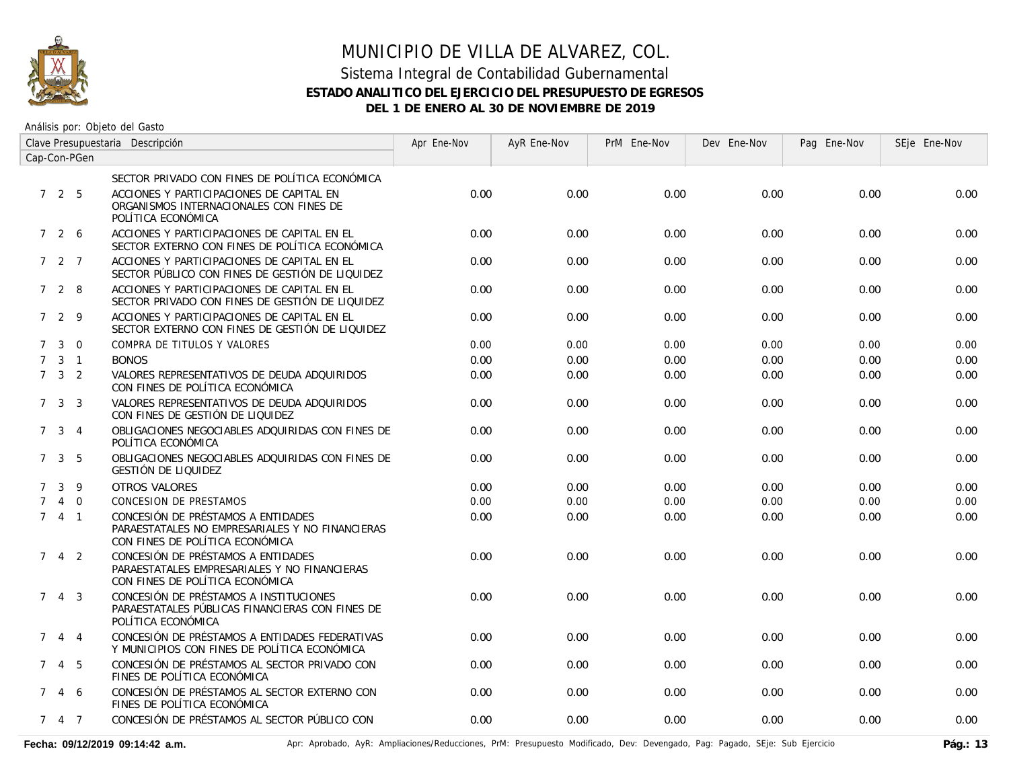

### Sistema Integral de Contabilidad Gubernamental **ESTADO ANALITICO DEL EJERCICIO DEL PRESUPUESTO DE EGRESOS DEL 1 DE ENERO AL 30 DE NOVIEMBRE DE 2019**

Análisis por: Objeto del Gasto

| Clave Presupuestaria Descripción |                     |                |                                                                                                                          | Apr Ene-Nov | AyR Ene-Nov | PrM Ene-Nov | Dev Ene-Nov | Pag Ene-Nov | SEje Ene-Nov |
|----------------------------------|---------------------|----------------|--------------------------------------------------------------------------------------------------------------------------|-------------|-------------|-------------|-------------|-------------|--------------|
| Cap-Con-PGen                     |                     |                |                                                                                                                          |             |             |             |             |             |              |
|                                  |                     |                | SECTOR PRIVADO CON FINES DE POLÍTICA ECONÓMICA                                                                           |             |             |             |             |             |              |
|                                  | 725                 |                | ACCIONES Y PARTICIPACIONES DE CAPITAL EN<br>ORGANISMOS INTERNACIONALES CON FINES DE<br>POLÍTICA ECONÓMICA                | 0.00        | 0.00        | 0.00        | 0.00        | 0.00        | 0.00         |
|                                  | 7 2 6               |                | ACCIONES Y PARTICIPACIONES DE CAPITAL EN EL<br>SECTOR EXTERNO CON FINES DE POLÍTICA ECONÓMICA                            | 0.00        | 0.00        | 0.00        | 0.00        | 0.00        | 0.00         |
|                                  | 7 2 7               |                | ACCIONES Y PARTICIPACIONES DE CAPITAL EN EL<br>SECTOR PÚBLICO CON FINES DE GESTIÓN DE LIQUIDEZ                           | 0.00        | 0.00        | 0.00        | 0.00        | 0.00        | 0.00         |
|                                  | 728                 |                | ACCIONES Y PARTICIPACIONES DE CAPITAL EN EL<br>SECTOR PRIVADO CON FINES DE GESTIÓN DE LIQUIDEZ                           | 0.00        | 0.00        | 0.00        | 0.00        | 0.00        | 0.00         |
|                                  | 7 2 9               |                | ACCIONES Y PARTICIPACIONES DE CAPITAL EN EL<br>SECTOR EXTERNO CON FINES DE GESTIÓN DE LIQUIDEZ                           | 0.00        | 0.00        | 0.00        | 0.00        | 0.00        | 0.00         |
| $7^{\circ}$                      | $\mathbf{3}$        | $\Omega$       | COMPRA DE TITULOS Y VALORES                                                                                              | 0.00        | 0.00        | 0.00        | 0.00        | 0.00        | 0.00         |
|                                  | $7 \quad 3 \quad 1$ |                | <b>BONOS</b>                                                                                                             | 0.00        | 0.00        | 0.00        | 0.00        | 0.00        | 0.00         |
|                                  | $7 \quad 3 \quad 2$ |                | VALORES REPRESENTATIVOS DE DEUDA ADQUIRIDOS<br>CON FINES DE POLÍTICA ECONÓMICA                                           | 0.00        | 0.00        | 0.00        | 0.00        | 0.00        | 0.00         |
|                                  | $7 \quad 3 \quad 3$ |                | VALORES REPRESENTATIVOS DE DEUDA ADQUIRIDOS<br>CON FINES DE GESTIÓN DE LIQUIDEZ                                          | 0.00        | 0.00        | 0.00        | 0.00        | 0.00        | 0.00         |
|                                  | 7 <sup>3</sup>      | $\overline{4}$ | OBLIGACIONES NEGOCIABLES ADQUIRIDAS CON FINES DE<br>POLÍTICA ECONÓMICA                                                   | 0.00        | 0.00        | 0.00        | 0.00        | 0.00        | 0.00         |
|                                  | $7 \quad 3 \quad 5$ |                | OBLIGACIONES NEGOCIABLES ADOUIRIDAS CON FINES DE<br>GESTIÓN DE LIQUIDEZ                                                  | 0.00        | 0.00        | 0.00        | 0.00        | 0.00        | 0.00         |
| $7^{\circ}$                      |                     | $3 \quad 9$    | OTROS VALORES                                                                                                            | 0.00        | 0.00        | 0.00        | 0.00        | 0.00        | 0.00         |
|                                  |                     | $4\quad 0$     | CONCESION DE PRESTAMOS                                                                                                   | 0.00        | 0.00        | 0.00        | 0.00        | 0.00        | 0.00         |
|                                  | 741                 |                | CONCESIÓN DE PRÉSTAMOS A ENTIDADES<br>PARAESTATALES NO EMPRESARIALES Y NO FINANCIERAS<br>CON FINES DE POLÍTICA ECONÓMICA | 0.00        | 0.00        | 0.00        | 0.00        | 0.00        | 0.00         |
| $7^{\circ}$                      |                     | $4\quad 2$     | CONCESIÓN DE PRÉSTAMOS A ENTIDADES<br>PARAESTATALES EMPRESARIALES Y NO FINANCIERAS<br>CON FINES DE POLÍTICA ECONÓMICA    | 0.00        | 0.00        | 0.00        | 0.00        | 0.00        | 0.00         |
|                                  | $7 \t4 \t3$         |                | CONCESIÓN DE PRÉSTAMOS A INSTITUCIONES<br>PARAESTATALES PÚBLICAS FINANCIERAS CON FINES DE<br>POLÍTICA ECONÓMICA          | 0.00        | 0.00        | 0.00        | 0.00        | 0.00        | 0.00         |
| $7^{\circ}$                      |                     | $4 \quad 4$    | CONCESIÓN DE PRÉSTAMOS A ENTIDADES FEDERATIVAS<br>Y MUNICIPIOS CON FINES DE POLÍTICA ECONÓMICA                           | 0.00        | 0.00        | 0.00        | 0.00        | 0.00        | 0.00         |
|                                  | 745                 |                | CONCESIÓN DE PRÉSTAMOS AL SECTOR PRIVADO CON<br>FINES DE POLÍTICA ECONÓMICA                                              | 0.00        | 0.00        | 0.00        | 0.00        | 0.00        | 0.00         |
|                                  | 7 4 6               |                | CONCESIÓN DE PRÉSTAMOS AL SECTOR EXTERNO CON<br>FINES DE POLÍTICA ECONÓMICA                                              | 0.00        | 0.00        | 0.00        | 0.00        | 0.00        | 0.00         |
|                                  | 7 4 7               |                | CONCESIÓN DE PRÉSTAMOS AL SECTOR PÚBLICO CON                                                                             | 0.00        | 0.00        | 0.00        | 0.00        | 0.00        | 0.00         |

Fecha: 09/12/2019 09:14:42 a.m. **Aprical Access** Aprical AyR: Ampliaciones/Reducciones, PrM: Presupuesto Modificado, Dev: Devengado, Pag: Pagado, SEje: Sub Ejercicio Pág.: 13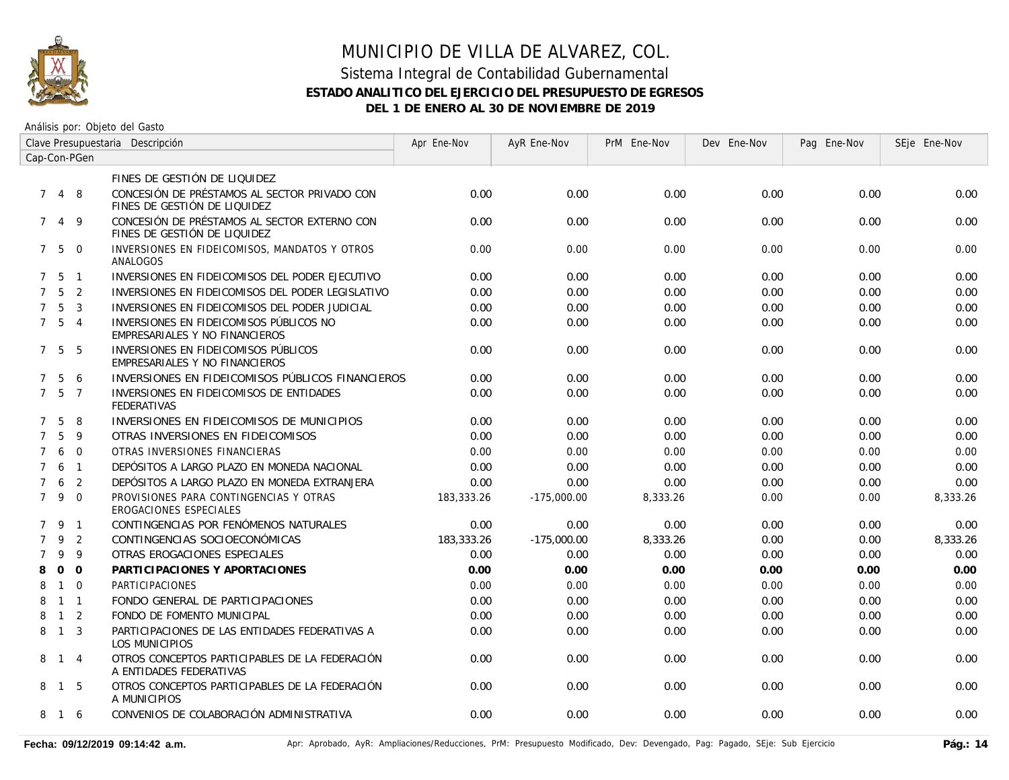

### Sistema Integral de Contabilidad Gubernamental **ESTADO ANALITICO DEL EJERCICIO DEL PRESUPUESTO DE EGRESOS DEL 1 DE ENERO AL 30 DE NOVIEMBRE DE 2019**

| Clave Presupuestaria Descripción |                   |                |                                                                              | Apr Ene-Nov | AyR Ene-Nov   | PrM Ene-Nov | Dev Ene-Nov | Pag Ene-Nov | SEje Ene-Nov |
|----------------------------------|-------------------|----------------|------------------------------------------------------------------------------|-------------|---------------|-------------|-------------|-------------|--------------|
| Cap-Con-PGen                     |                   |                |                                                                              |             |               |             |             |             |              |
|                                  |                   |                | FINES DE GESTIÓN DE LIQUIDEZ                                                 |             |               |             |             |             |              |
|                                  | 7 4 8             |                | CONCESIÓN DE PRÉSTAMOS AL SECTOR PRIVADO CON<br>FINES DE GESTIÓN DE LIQUIDEZ | 0.00        | 0.00          | 0.00        | 0.00        | 0.00        | 0.00         |
| $7^{\circ}$                      | $\overline{4}$    | 9              | CONCESIÓN DE PRÉSTAMOS AL SECTOR EXTERNO CON<br>FINES DE GESTIÓN DE LIQUIDEZ | 0.00        | 0.00          | 0.00        | 0.00        | 0.00        | 0.00         |
|                                  | 750               |                | INVERSIONES EN FIDEICOMISOS, MANDATOS Y OTROS<br>ANALOGOS                    | 0.00        | 0.00          | 0.00        | 0.00        | 0.00        | 0.00         |
|                                  | $7\quad 5\quad 1$ |                | INVERSIONES EN FIDEICOMISOS DEL PODER EJECUTIVO                              | 0.00        | 0.00          | 0.00        | 0.00        | 0.00        | 0.00         |
| $7^{\circ}$                      | 5                 | $\overline{2}$ | INVERSIONES EN FIDEICOMISOS DEL PODER LEGISLATIVO                            | 0.00        | 0.00          | 0.00        | 0.00        | 0.00        | 0.00         |
| $7^{\circ}$                      | 5                 | $\overline{3}$ | INVERSIONES EN FIDEICOMISOS DEL PODER JUDICIAL                               | 0.00        | 0.00          | 0.00        | 0.00        | 0.00        | 0.00         |
|                                  | $7\quad 5\quad 4$ |                | INVERSIONES EN FIDEICOMISOS PÚBLICOS NO<br>EMPRESARIALES Y NO FINANCIEROS    | 0.00        | 0.00          | 0.00        | 0.00        | 0.00        | 0.00         |
|                                  | 7 5               | - 5            | INVERSIONES EN FIDEICOMISOS PÚBLICOS<br>EMPRESARIALES Y NO FINANCIEROS       | 0.00        | 0.00          | 0.00        | 0.00        | 0.00        | 0.00         |
| $7^{\circ}$                      | 5                 | 6              | INVERSIONES EN FIDEICOMISOS PÚBLICOS FINANCIEROS                             | 0.00        | 0.00          | 0.00        | 0.00        | 0.00        | 0.00         |
| $7^{\circ}$                      | 5                 | $\overline{7}$ | INVERSIONES EN FIDEICOMISOS DE ENTIDADES<br><b>FEDERATIVAS</b>               | 0.00        | 0.00          | 0.00        | 0.00        | 0.00        | 0.00         |
| $7^{\circ}$                      | 5                 | 8              | INVERSIONES EN FIDEICOMISOS DE MUNICIPIOS                                    | 0.00        | 0.00          | 0.00        | 0.00        | 0.00        | 0.00         |
| $7^{\circ}$                      | 5                 | 9              | OTRAS INVERSIONES EN FIDEICOMISOS                                            | 0.00        | 0.00          | 0.00        | 0.00        | 0.00        | 0.00         |
| $\overline{7}$                   | 6                 | $\overline{0}$ | OTRAS INVERSIONES FINANCIERAS                                                | 0.00        | 0.00          | 0.00        | 0.00        | 0.00        | 0.00         |
| $7^{\circ}$                      | 6                 | $\overline{1}$ | DEPÓSITOS A LARGO PLAZO EN MONEDA NACIONAL                                   | 0.00        | 0.00          | 0.00        | 0.00        | 0.00        | 0.00         |
| $\overline{7}$                   | 6                 | $\overline{2}$ | DEPÓSITOS A LARGO PLAZO EN MONEDA EXTRANJERA                                 | 0.00        | 0.00          | 0.00        | 0.00        | 0.00        | 0.00         |
| $7^{\circ}$                      | 9                 | $\Omega$       | PROVISIONES PARA CONTINGENCIAS Y OTRAS<br>EROGACIONES ESPECIALES             | 183,333,26  | $-175,000.00$ | 8,333.26    | 0.00        | 0.00        | 8,333.26     |
|                                  | 7 9 1             |                | CONTINGENCIAS POR FENÓMENOS NATURALES                                        | 0.00        | 0.00          | 0.00        | 0.00        | 0.00        | 0.00         |
| $\overline{7}$                   | 9                 | $\overline{2}$ | CONTINGENCIAS SOCIOECONÓMICAS                                                | 183,333.26  | $-175,000.00$ | 8,333.26    | 0.00        | 0.00        | 8,333.26     |
| $\overline{7}$                   | 9                 | 9              | OTRAS EROGACIONES ESPECIALES                                                 | 0.00        | 0.00          | 0.00        | 0.00        | 0.00        | 0.00         |
| 8                                | $\Omega$          | $\Omega$       | PARTICIPACIONES Y APORTACIONES                                               | 0.00        | 0.00          | 0.00        | 0.00        | 0.00        | 0.00         |
| 8                                | $\mathbf{1}$      | $\Omega$       | PARTICIPACIONES                                                              | 0.00        | 0.00          | 0.00        | 0.00        | 0.00        | 0.00         |
| 8                                | $1 \quad 1$       |                | FONDO GENERAL DE PARTICIPACIONES                                             | 0.00        | 0.00          | 0.00        | 0.00        | 0.00        | 0.00         |
| 8                                | $\overline{1}$    | 2              | FONDO DE FOMENTO MUNICIPAL                                                   | 0.00        | 0.00          | 0.00        | 0.00        | 0.00        | 0.00         |
| 8                                | $\overline{1}$    | $\overline{3}$ | PARTICIPACIONES DE LAS ENTIDADES FEDERATIVAS A<br>LOS MUNICIPIOS             | 0.00        | 0.00          | 0.00        | 0.00        | 0.00        | 0.00         |
|                                  | 8 1 4             |                | OTROS CONCEPTOS PARTICIPABLES DE LA FEDERACIÓN<br>A ENTIDADES FEDERATIVAS    | 0.00        | 0.00          | 0.00        | 0.00        | 0.00        | 0.00         |
|                                  | 8 1               | - 5            | OTROS CONCEPTOS PARTICIPABLES DE LA FEDERACIÓN<br>A MUNICIPIOS               | 0.00        | 0.00          | 0.00        | 0.00        | 0.00        | 0.00         |
| 8                                | 16                |                | CONVENIOS DE COLABORACIÓN ADMINISTRATIVA                                     | 0.00        | 0.00          | 0.00        | 0.00        | 0.00        | 0.00         |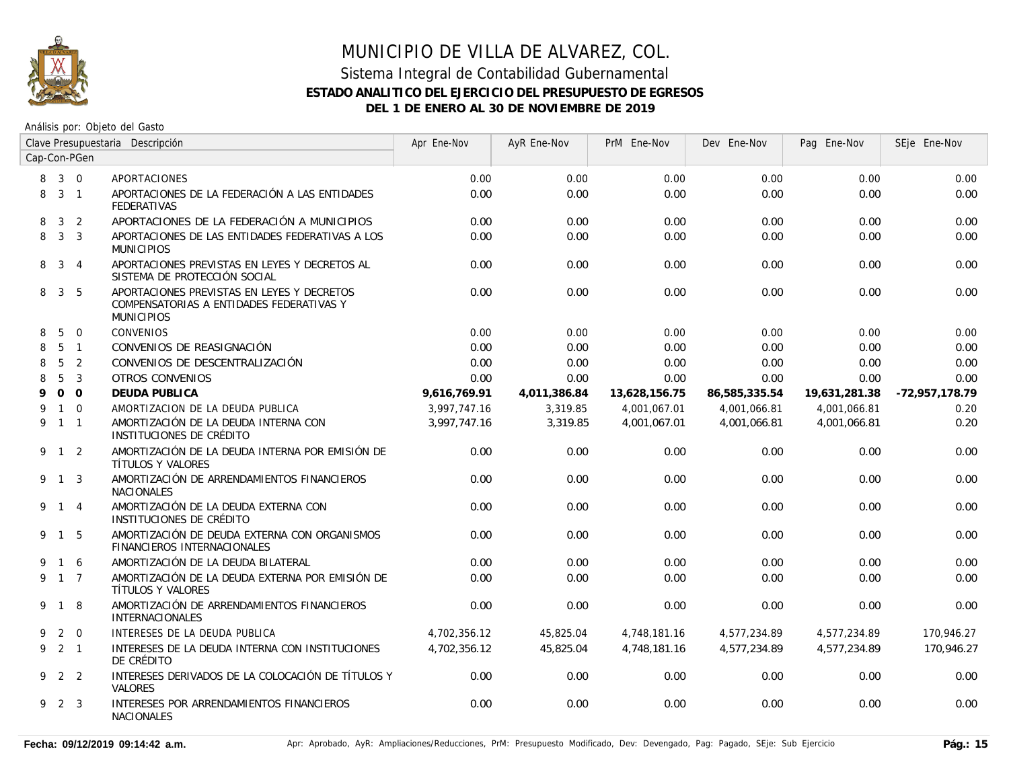

### Sistema Integral de Contabilidad Gubernamental **ESTADO ANALITICO DEL EJERCICIO DEL PRESUPUESTO DE EGRESOS DEL 1 DE ENERO AL 30 DE NOVIEMBRE DE 2019**

| Clave Presupuestaria Descripción |                     |                |                                                                                                             | Apr Ene-Nov  | AyR Ene-Nov  | PrM Ene-Nov   | Dev Ene-Nov   | Pag Ene-Nov   | SEje Ene-Nov   |
|----------------------------------|---------------------|----------------|-------------------------------------------------------------------------------------------------------------|--------------|--------------|---------------|---------------|---------------|----------------|
| Cap-Con-PGen                     |                     |                |                                                                                                             |              |              |               |               |               |                |
| 8                                | $3 \quad 0$         |                | APORTACIONES                                                                                                | 0.00         | 0.00         | 0.00          | 0.00          | 0.00          | 0.00           |
| 8                                | 3 <sub>1</sub>      |                | APORTACIONES DE LA FEDERACIÓN A LAS ENTIDADES<br><b>FEDERATIVAS</b>                                         | 0.00         | 0.00         | 0.00          | 0.00          | 0.00          | 0.00           |
| 8                                | 3 <sup>1</sup>      | $\overline{2}$ | APORTACIONES DE LA FEDERACIÓN A MUNICIPIOS                                                                  | 0.00         | 0.00         | 0.00          | 0.00          | 0.00          | 0.00           |
| 8                                |                     | 3 <sup>3</sup> | APORTACIONES DE LAS ENTIDADES FEDERATIVAS A LOS<br><b>MUNICIPIOS</b>                                        | 0.00         | 0.00         | 0.00          | 0.00          | 0.00          | 0.00           |
| 8                                |                     | $3 \quad 4$    | APORTACIONES PREVISTAS EN LEYES Y DECRETOS AL<br>SISTEMA DE PROTECCIÓN SOCIAL                               | 0.00         | 0.00         | 0.00          | 0.00          | 0.00          | 0.00           |
| 8                                |                     | 3 <sub>5</sub> | APORTACIONES PREVISTAS EN LEYES Y DECRETOS<br>COMPENSATORIAS A ENTIDADES FEDERATIVAS Y<br><b>MUNICIPIOS</b> | 0.00         | 0.00         | 0.00          | 0.00          | 0.00          | 0.00           |
| 8                                | 5                   | $\overline{0}$ | <b>CONVENIOS</b>                                                                                            | 0.00         | 0.00         | 0.00          | 0.00          | 0.00          | 0.00           |
| 8                                |                     | 5 <sub>1</sub> | CONVENIOS DE REASIGNACIÓN                                                                                   | 0.00         | 0.00         | 0.00          | 0.00          | 0.00          | 0.00           |
| 8                                | $5\overline{)}$     | $\overline{2}$ | CONVENIOS DE DESCENTRALIZACIÓN                                                                              | 0.00         | 0.00         | 0.00          | 0.00          | 0.00          | 0.00           |
| 8                                | 5                   | $\overline{3}$ | <b>OTROS CONVENIOS</b>                                                                                      | 0.00         | 0.00         | 0.00          | 0.00          | 0.00          | 0.00           |
| 9                                |                     | $0\quad 0$     | DEUDA PUBLICA                                                                                               | 9,616,769.91 | 4,011,386.84 | 13,628,156.75 | 86,585,335.54 | 19,631,281.38 | -72,957,178.79 |
| 9                                |                     | $1 \quad 0$    | AMORTIZACION DE LA DEUDA PUBLICA                                                                            | 3,997,747.16 | 3,319.85     | 4,001,067.01  | 4,001,066.81  | 4,001,066.81  | 0.20           |
|                                  | 9 1 1               |                | AMORTIZACIÓN DE LA DEUDA INTERNA CON<br>INSTITUCIONES DE CRÉDITO                                            | 3.997.747.16 | 3,319.85     | 4,001,067.01  | 4.001.066.81  | 4,001,066.81  | 0.20           |
|                                  | $9 \t1 \t2$         |                | AMORTIZACIÓN DE LA DEUDA INTERNA POR EMISIÓN DE<br>TÍTULOS Y VALORES                                        | 0.00         | 0.00         | 0.00          | 0.00          | 0.00          | 0.00           |
|                                  | 9 1 3               |                | AMORTIZACIÓN DE ARRENDAMIENTOS FINANCIEROS<br><b>NACIONALES</b>                                             | 0.00         | 0.00         | 0.00          | 0.00          | 0.00          | 0.00           |
|                                  | 9 1 4               |                | AMORTIZACIÓN DE LA DEUDA EXTERNA CON<br>INSTITUCIONES DE CRÉDITO                                            | 0.00         | 0.00         | 0.00          | 0.00          | 0.00          | 0.00           |
|                                  | 9 1 5               |                | AMORTIZACIÓN DE DEUDA EXTERNA CON ORGANISMOS<br>FINANCIEROS INTERNACIONALES                                 | 0.00         | 0.00         | 0.00          | 0.00          | 0.00          | 0.00           |
| 9                                | 1 6                 |                | AMORTIZACIÓN DE LA DEUDA BILATERAL                                                                          | 0.00         | 0.00         | 0.00          | 0.00          | 0.00          | 0.00           |
|                                  | 9 1 7               |                | AMORTIZACIÓN DE LA DEUDA EXTERNA POR EMISIÓN DE<br>TÍTULOS Y VALORES                                        | 0.00         | 0.00         | 0.00          | 0.00          | 0.00          | 0.00           |
|                                  | 9 1 8               |                | AMORTIZACIÓN DE ARRENDAMIENTOS FINANCIEROS<br><b>INTERNACIONALES</b>                                        | 0.00         | 0.00         | 0.00          | 0.00          | 0.00          | 0.00           |
| 9                                |                     | $2 \quad 0$    | INTERESES DE LA DEUDA PUBLICA                                                                               | 4.702.356.12 | 45.825.04    | 4.748.181.16  | 4,577,234.89  | 4,577,234.89  | 170,946.27     |
|                                  | $9 \quad 2 \quad 1$ |                | INTERESES DE LA DEUDA INTERNA CON INSTITUCIONES<br>DE CRÉDITO                                               | 4.702.356.12 | 45.825.04    | 4.748.181.16  | 4,577,234.89  | 4.577.234.89  | 170,946.27     |
|                                  | 9 2 2               |                | INTERESES DERIVADOS DE LA COLOCACIÓN DE TÍTULOS Y<br><b>VALORES</b>                                         | 0.00         | 0.00         | 0.00          | 0.00          | 0.00          | 0.00           |
|                                  | 9 2 3               |                | INTERESES POR ARRENDAMIENTOS FINANCIEROS<br><b>NACIONALES</b>                                               | 0.00         | 0.00         | 0.00          | 0.00          | 0.00          | 0.00           |